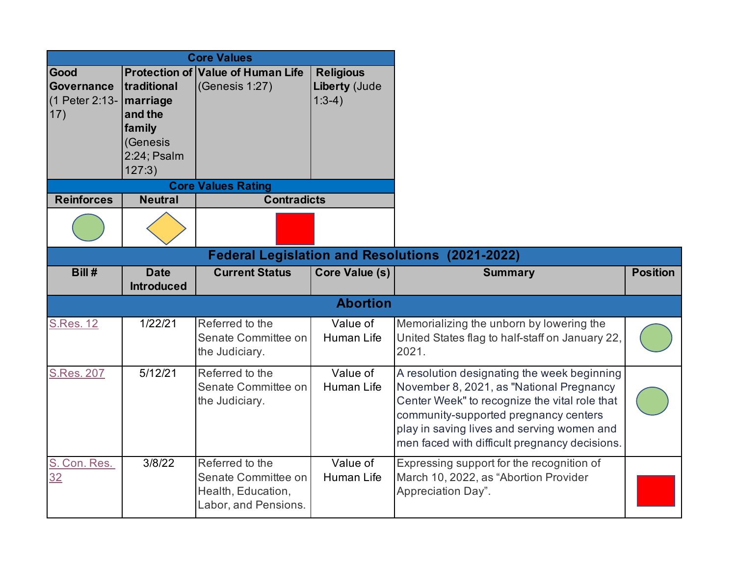| <b>Core Values</b> |                |                                          |                    |                  |  |  |  |
|--------------------|----------------|------------------------------------------|--------------------|------------------|--|--|--|
| Good               |                | <b>Protection of Value of Human Life</b> |                    | <b>Religious</b> |  |  |  |
| <b>Governance</b>  | traditional    | (Genesis $1:27$ )                        |                    | Liberty (Jude    |  |  |  |
| (1 Peter 2:13-     | marriage       |                                          |                    | $1:3-4)$         |  |  |  |
| 17)                | and the        |                                          |                    |                  |  |  |  |
|                    | family         |                                          |                    |                  |  |  |  |
|                    | (Genesis       |                                          |                    |                  |  |  |  |
|                    | 2:24; Psalm    |                                          |                    |                  |  |  |  |
|                    | 127:3)         |                                          |                    |                  |  |  |  |
|                    |                | <b>Core Values Rating</b>                |                    |                  |  |  |  |
| <b>Reinforces</b>  | <b>Neutral</b> |                                          | <b>Contradicts</b> |                  |  |  |  |
|                    |                |                                          |                    |                  |  |  |  |

|                    | <b>Federal Legislation and Resolutions (2021-2022)</b> |                                                                                      |                        |                                                                                                                                                                                                                                                                                  |                 |  |  |  |
|--------------------|--------------------------------------------------------|--------------------------------------------------------------------------------------|------------------------|----------------------------------------------------------------------------------------------------------------------------------------------------------------------------------------------------------------------------------------------------------------------------------|-----------------|--|--|--|
| Bill #             | <b>Date</b><br><b>Introduced</b>                       | <b>Current Status</b>                                                                | Core Value (s)         | <b>Summary</b>                                                                                                                                                                                                                                                                   | <b>Position</b> |  |  |  |
|                    |                                                        |                                                                                      | <b>Abortion</b>        |                                                                                                                                                                                                                                                                                  |                 |  |  |  |
| <b>S.Res. 12</b>   | 1/22/21                                                | Referred to the<br>Senate Committee on<br>the Judiciary.                             | Value of<br>Human Life | Memorializing the unborn by lowering the<br>United States flag to half-staff on January 22,<br>2021.                                                                                                                                                                             |                 |  |  |  |
| <b>S.Res. 207</b>  | 5/12/21                                                | Referred to the<br>Senate Committee on<br>the Judiciary.                             | Value of<br>Human Life | A resolution designating the week beginning<br>November 8, 2021, as "National Pregnancy<br>Center Week" to recognize the vital role that<br>community-supported pregnancy centers<br>play in saving lives and serving women and<br>men faced with difficult pregnancy decisions. |                 |  |  |  |
| S. Con. Res.<br>32 | 3/8/22                                                 | Referred to the<br>Senate Committee on<br>Health, Education,<br>Labor, and Pensions. | Value of<br>Human Life | Expressing support for the recognition of<br>March 10, 2022, as "Abortion Provider<br>Appreciation Day".                                                                                                                                                                         |                 |  |  |  |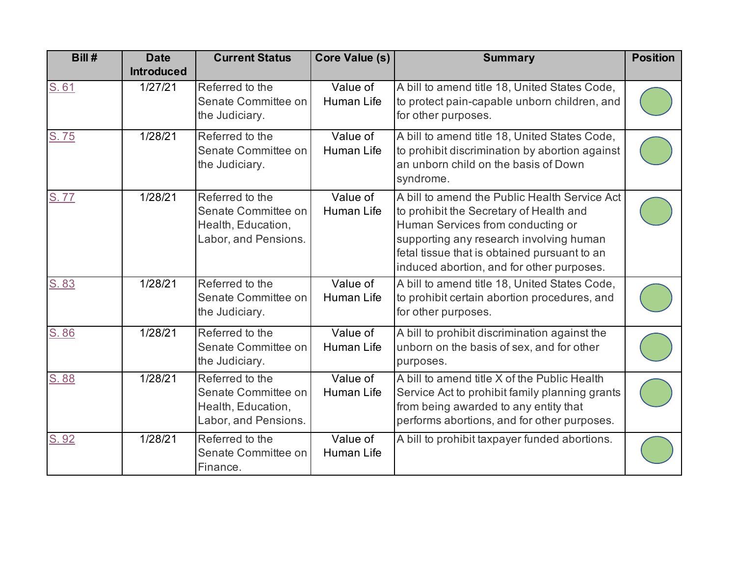| Bill# | <b>Date</b><br><b>Introduced</b> | <b>Current Status</b>                                                                | Core Value (s)                | <b>Summary</b>                                                                                                                                                                                                                                                        | <b>Position</b> |
|-------|----------------------------------|--------------------------------------------------------------------------------------|-------------------------------|-----------------------------------------------------------------------------------------------------------------------------------------------------------------------------------------------------------------------------------------------------------------------|-----------------|
| S.61  | 1/27/21                          | Referred to the<br>Senate Committee on<br>the Judiciary.                             | Value of<br>Human Life        | A bill to amend title 18, United States Code,<br>to protect pain-capable unborn children, and<br>for other purposes.                                                                                                                                                  |                 |
| S.75  | 1/28/21                          | Referred to the<br>Senate Committee on<br>the Judiciary.                             | Value of<br>Human Life        | A bill to amend title 18, United States Code,<br>to prohibit discrimination by abortion against<br>an unborn child on the basis of Down<br>syndrome.                                                                                                                  |                 |
| S.77  | 1/28/21                          | Referred to the<br>Senate Committee on<br>Health, Education,<br>Labor, and Pensions. | Value of<br><b>Human Life</b> | A bill to amend the Public Health Service Act<br>to prohibit the Secretary of Health and<br>Human Services from conducting or<br>supporting any research involving human<br>fetal tissue that is obtained pursuant to an<br>induced abortion, and for other purposes. |                 |
| S.83  | 1/28/21                          | Referred to the<br>Senate Committee on<br>the Judiciary.                             | Value of<br>Human Life        | A bill to amend title 18, United States Code,<br>to prohibit certain abortion procedures, and<br>for other purposes.                                                                                                                                                  |                 |
| S.86  | 1/28/21                          | Referred to the<br>Senate Committee on<br>the Judiciary.                             | Value of<br>Human Life        | A bill to prohibit discrimination against the<br>unborn on the basis of sex, and for other<br>purposes.                                                                                                                                                               |                 |
| S.88  | 1/28/21                          | Referred to the<br>Senate Committee on<br>Health, Education,<br>Labor, and Pensions. | Value of<br>Human Life        | A bill to amend title X of the Public Health<br>Service Act to prohibit family planning grants<br>from being awarded to any entity that<br>performs abortions, and for other purposes.                                                                                |                 |
| S.92  | 1/28/21                          | Referred to the<br>Senate Committee on<br>Finance.                                   | Value of<br><b>Human Life</b> | A bill to prohibit taxpayer funded abortions.                                                                                                                                                                                                                         |                 |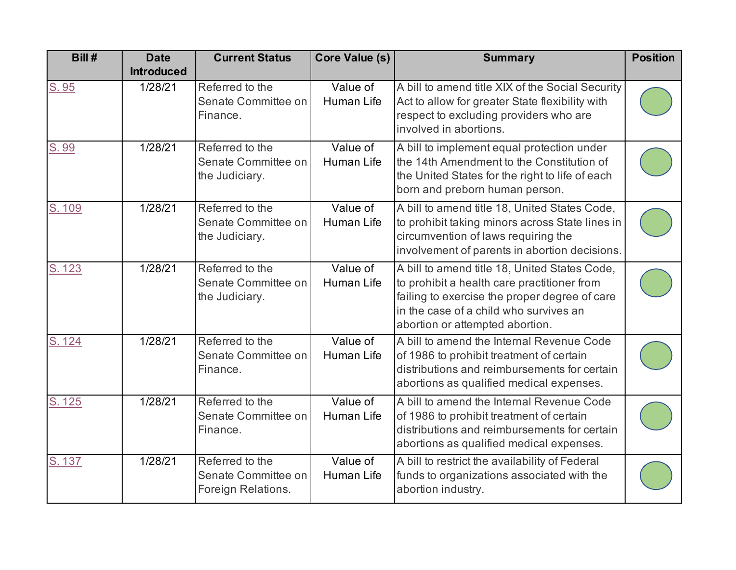| Bill#  | <b>Date</b><br><b>Introduced</b> | <b>Current Status</b>                                        | Core Value (s)                | <b>Summary</b>                                                                                                                                                                                                             | <b>Position</b> |
|--------|----------------------------------|--------------------------------------------------------------|-------------------------------|----------------------------------------------------------------------------------------------------------------------------------------------------------------------------------------------------------------------------|-----------------|
| S.95   | 1/28/21                          | Referred to the<br>Senate Committee on<br>Finance.           | Value of<br><b>Human Life</b> | A bill to amend title XIX of the Social Security<br>Act to allow for greater State flexibility with<br>respect to excluding providers who are<br>involved in abortions.                                                    |                 |
| S.99   | 1/28/21                          | Referred to the<br>Senate Committee on<br>the Judiciary.     | Value of<br>Human Life        | A bill to implement equal protection under<br>the 14th Amendment to the Constitution of<br>the United States for the right to life of each<br>born and preborn human person.                                               |                 |
| S. 109 | 1/28/21                          | Referred to the<br>Senate Committee on<br>the Judiciary.     | Value of<br><b>Human Life</b> | A bill to amend title 18, United States Code,<br>to prohibit taking minors across State lines in<br>circumvention of laws requiring the<br>involvement of parents in abortion decisions.                                   |                 |
| S. 123 | 1/28/21                          | Referred to the<br>Senate Committee on<br>the Judiciary.     | Value of<br><b>Human Life</b> | A bill to amend title 18, United States Code,<br>to prohibit a health care practitioner from<br>failing to exercise the proper degree of care<br>in the case of a child who survives an<br>abortion or attempted abortion. |                 |
| S. 124 | 1/28/21                          | Referred to the<br>Senate Committee on<br>Finance.           | Value of<br>Human Life        | A bill to amend the Internal Revenue Code<br>of 1986 to prohibit treatment of certain<br>distributions and reimbursements for certain<br>abortions as qualified medical expenses.                                          |                 |
| S. 125 | 1/28/21                          | Referred to the<br>Senate Committee on<br>Finance.           | Value of<br>Human Life        | A bill to amend the Internal Revenue Code<br>of 1986 to prohibit treatment of certain<br>distributions and reimbursements for certain<br>abortions as qualified medical expenses.                                          |                 |
| S. 137 | $\sqrt{1/28/21}$                 | Referred to the<br>Senate Committee on<br>Foreign Relations. | Value of<br>Human Life        | A bill to restrict the availability of Federal<br>funds to organizations associated with the<br>abortion industry.                                                                                                         |                 |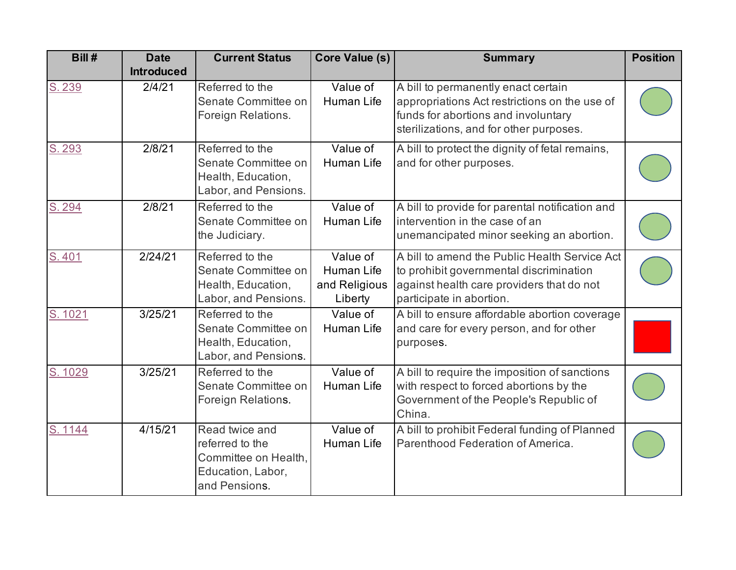| Bill#   | <b>Date</b><br><b>Introduced</b> | <b>Current Status</b>                                                                           | Core Value (s)                                            | <b>Summary</b>                                                                                                                                                         | <b>Position</b> |
|---------|----------------------------------|-------------------------------------------------------------------------------------------------|-----------------------------------------------------------|------------------------------------------------------------------------------------------------------------------------------------------------------------------------|-----------------|
| S. 239  | 2/4/21                           | Referred to the<br>Senate Committee on<br>Foreign Relations.                                    | Value of<br>Human Life                                    | A bill to permanently enact certain<br>appropriations Act restrictions on the use of<br>funds for abortions and involuntary<br>sterilizations, and for other purposes. |                 |
| S. 293  | 2/8/21                           | Referred to the<br>Senate Committee on<br>Health, Education,<br>Labor, and Pensions.            | Value of<br><b>Human Life</b>                             | A bill to protect the dignity of fetal remains,<br>and for other purposes.                                                                                             |                 |
| S. 294  | 2/8/21                           | Referred to the<br>Senate Committee on<br>the Judiciary.                                        | Value of<br><b>Human Life</b>                             | A bill to provide for parental notification and<br>intervention in the case of an<br>unemancipated minor seeking an abortion.                                          |                 |
| S.401   | 2/24/21                          | Referred to the<br>Senate Committee on<br>Health, Education,<br>Labor, and Pensions.            | Value of<br><b>Human Life</b><br>and Religious<br>Liberty | A bill to amend the Public Health Service Act<br>to prohibit governmental discrimination<br>against health care providers that do not<br>participate in abortion.      |                 |
| S. 1021 | 3/25/21                          | Referred to the<br>Senate Committee on<br>Health, Education,<br>Labor, and Pensions.            | Value of<br>Human Life                                    | A bill to ensure affordable abortion coverage<br>and care for every person, and for other<br>purposes.                                                                 |                 |
| S. 1029 | 3/25/21                          | Referred to the<br>Senate Committee on<br>Foreign Relations.                                    | Value of<br>Human Life                                    | A bill to require the imposition of sanctions<br>with respect to forced abortions by the<br>Government of the People's Republic of<br>China.                           |                 |
| S. 1144 | 4/15/21                          | Read twice and<br>referred to the<br>Committee on Health,<br>Education, Labor,<br>and Pensions. | Value of<br>Human Life                                    | A bill to prohibit Federal funding of Planned<br>Parenthood Federation of America.                                                                                     |                 |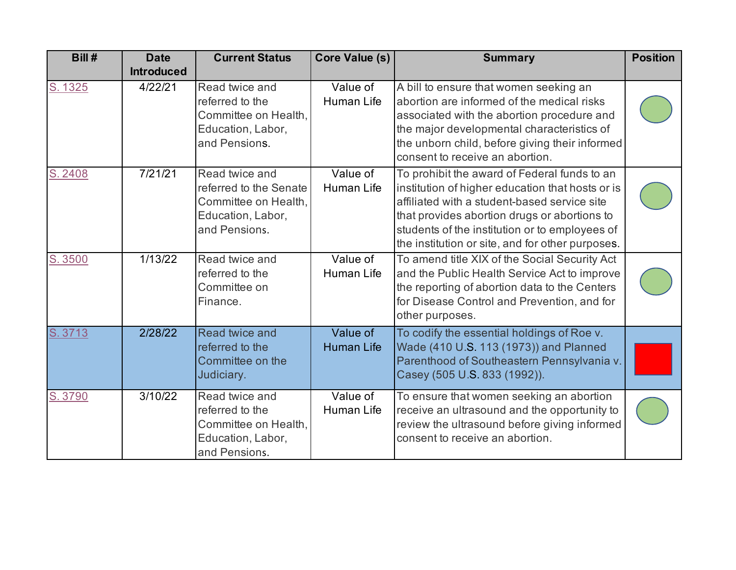| Bill#   | <b>Date</b><br><b>Introduced</b> | <b>Current Status</b>                                                                                  | <b>Core Value (s)</b>         | <b>Summary</b>                                                                                                                                                                                                                                                                                         | <b>Position</b> |
|---------|----------------------------------|--------------------------------------------------------------------------------------------------------|-------------------------------|--------------------------------------------------------------------------------------------------------------------------------------------------------------------------------------------------------------------------------------------------------------------------------------------------------|-----------------|
| S. 1325 | 4/22/21                          | Read twice and<br>referred to the<br>Committee on Health,<br>Education, Labor,<br>and Pensions.        | Value of<br>Human Life        | A bill to ensure that women seeking an<br>abortion are informed of the medical risks<br>associated with the abortion procedure and<br>the major developmental characteristics of<br>the unborn child, before giving their informed<br>consent to receive an abortion.                                  |                 |
| S. 2408 | 7/21/21                          | Read twice and<br>referred to the Senate<br>Committee on Health,<br>Education, Labor,<br>and Pensions. | Value of<br><b>Human Life</b> | To prohibit the award of Federal funds to an<br>institution of higher education that hosts or is<br>affiliated with a student-based service site<br>that provides abortion drugs or abortions to<br>students of the institution or to employees of<br>the institution or site, and for other purposes. |                 |
| S. 3500 | 1/13/22                          | Read twice and<br>referred to the<br>Committee on<br>Finance.                                          | Value of<br>Human Life        | To amend title XIX of the Social Security Act<br>and the Public Health Service Act to improve<br>the reporting of abortion data to the Centers<br>for Disease Control and Prevention, and for<br>other purposes.                                                                                       |                 |
| S. 3713 | 2/28/22                          | Read twice and<br>referred to the<br>Committee on the<br>Judiciary.                                    | Value of<br><b>Human Life</b> | To codify the essential holdings of Roe v.<br>Wade (410 U.S. 113 (1973)) and Planned<br>Parenthood of Southeastern Pennsylvania v.<br>Casey (505 U.S. 833 (1992)).                                                                                                                                     |                 |
| S. 3790 | 3/10/22                          | Read twice and<br>referred to the<br>Committee on Health,<br>Education, Labor,<br>and Pensions.        | Value of<br>Human Life        | To ensure that women seeking an abortion<br>receive an ultrasound and the opportunity to<br>review the ultrasound before giving informed<br>consent to receive an abortion.                                                                                                                            |                 |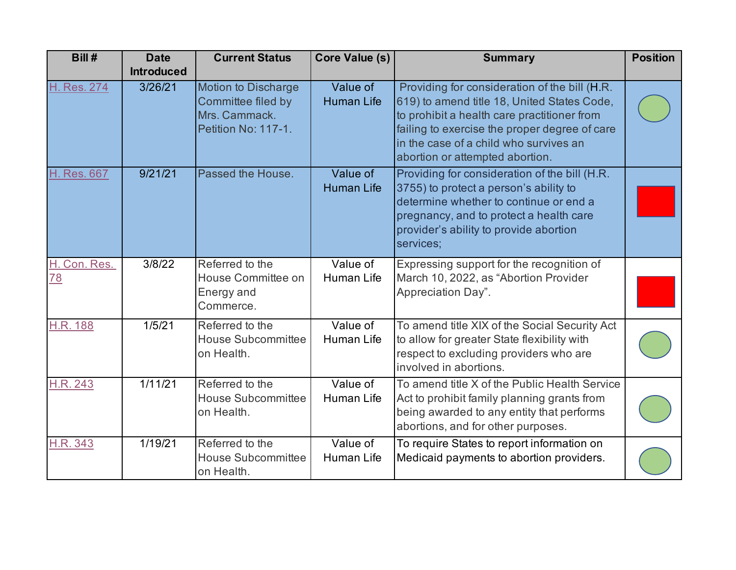| Bill#              | <b>Date</b>       | <b>Current Status</b>                                                                    | Core Value (s)                | <b>Summary</b>                                                                                                                                                                                                                                                            | <b>Position</b> |
|--------------------|-------------------|------------------------------------------------------------------------------------------|-------------------------------|---------------------------------------------------------------------------------------------------------------------------------------------------------------------------------------------------------------------------------------------------------------------------|-----------------|
|                    | <b>Introduced</b> |                                                                                          |                               |                                                                                                                                                                                                                                                                           |                 |
| H. Res. 274        | 3/26/21           | <b>Motion to Discharge</b><br>Committee filed by<br>Mrs. Cammack.<br>Petition No: 117-1. | Value of<br><b>Human Life</b> | Providing for consideration of the bill (H.R.<br>619) to amend title 18, United States Code,<br>to prohibit a health care practitioner from<br>failing to exercise the proper degree of care<br>in the case of a child who survives an<br>abortion or attempted abortion. |                 |
| H. Res. 667        | 9/21/21           | Passed the House.                                                                        | Value of<br><b>Human Life</b> | Providing for consideration of the bill (H.R.<br>3755) to protect a person's ability to<br>determine whether to continue or end a<br>pregnancy, and to protect a health care<br>provider's ability to provide abortion<br>services;                                       |                 |
| H. Con. Res.<br>78 | 3/8/22            | Referred to the<br>House Committee on<br>Energy and<br>Commerce.                         | Value of<br>Human Life        | Expressing support for the recognition of<br>March 10, 2022, as "Abortion Provider<br>Appreciation Day".                                                                                                                                                                  |                 |
| <b>H.R. 188</b>    | 1/5/21            | Referred to the<br><b>House Subcommittee</b><br>on Health.                               | Value of<br>Human Life        | To amend title XIX of the Social Security Act<br>to allow for greater State flexibility with<br>respect to excluding providers who are<br>involved in abortions.                                                                                                          |                 |
| H.R. 243           | 1/11/21           | Referred to the<br><b>House Subcommittee</b><br>on Health.                               | Value of<br>Human Life        | To amend title X of the Public Health Service<br>Act to prohibit family planning grants from<br>being awarded to any entity that performs<br>abortions, and for other purposes.                                                                                           |                 |
| H.R. 343           | 1/19/21           | Referred to the<br><b>House Subcommittee</b><br>on Health.                               | Value of<br>Human Life        | To require States to report information on<br>Medicaid payments to abortion providers.                                                                                                                                                                                    |                 |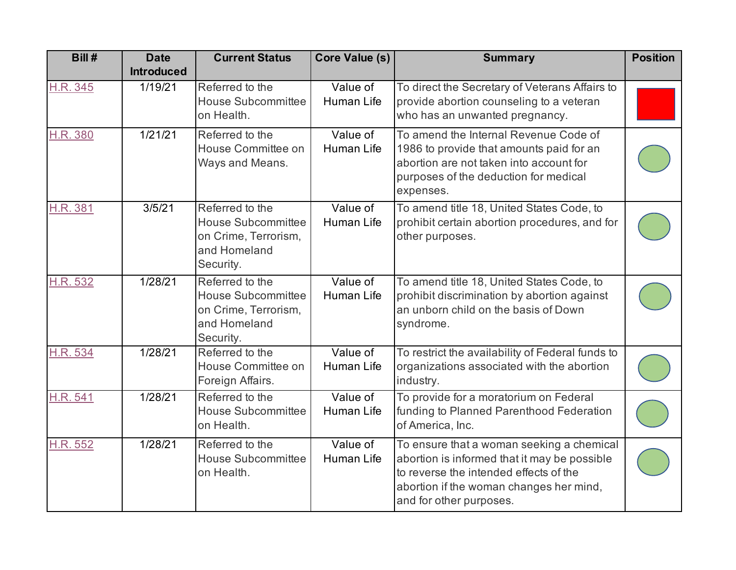| Bill#    | <b>Date</b>       | <b>Current Status</b>                                                                             | <b>Core Value (s)</b>  | <b>Summary</b>                                                                                                                                                                                            | <b>Position</b> |
|----------|-------------------|---------------------------------------------------------------------------------------------------|------------------------|-----------------------------------------------------------------------------------------------------------------------------------------------------------------------------------------------------------|-----------------|
|          | <b>Introduced</b> |                                                                                                   |                        |                                                                                                                                                                                                           |                 |
| H.R. 345 | 1/19/21           | Referred to the<br><b>House Subcommittee</b><br>on Health.                                        | Value of<br>Human Life | To direct the Secretary of Veterans Affairs to<br>provide abortion counseling to a veteran<br>who has an unwanted pregnancy.                                                                              |                 |
| H.R. 380 | 1/21/21           | Referred to the<br>House Committee on<br>Ways and Means.                                          | Value of<br>Human Life | To amend the Internal Revenue Code of<br>1986 to provide that amounts paid for an<br>abortion are not taken into account for<br>purposes of the deduction for medical<br>expenses.                        |                 |
| H.R. 381 | 3/5/21            | Referred to the<br><b>House Subcommittee</b><br>on Crime, Terrorism,<br>and Homeland<br>Security. | Value of<br>Human Life | To amend title 18, United States Code, to<br>prohibit certain abortion procedures, and for<br>other purposes.                                                                                             |                 |
| H.R. 532 | 1/28/21           | Referred to the<br><b>House Subcommittee</b><br>on Crime, Terrorism,<br>and Homeland<br>Security. | Value of<br>Human Life | To amend title 18, United States Code, to<br>prohibit discrimination by abortion against<br>an unborn child on the basis of Down<br>syndrome.                                                             |                 |
| H.R. 534 | 1/28/21           | Referred to the<br>House Committee on<br>Foreign Affairs.                                         | Value of<br>Human Life | To restrict the availability of Federal funds to<br>organizations associated with the abortion<br>industry.                                                                                               |                 |
| H.R. 541 | 1/28/21           | Referred to the<br><b>House Subcommittee</b><br>on Health.                                        | Value of<br>Human Life | To provide for a moratorium on Federal<br>funding to Planned Parenthood Federation<br>of America, Inc.                                                                                                    |                 |
| H.R. 552 | 1/28/21           | Referred to the<br><b>House Subcommittee</b><br>on Health.                                        | Value of<br>Human Life | To ensure that a woman seeking a chemical<br>abortion is informed that it may be possible<br>to reverse the intended effects of the<br>abortion if the woman changes her mind,<br>and for other purposes. |                 |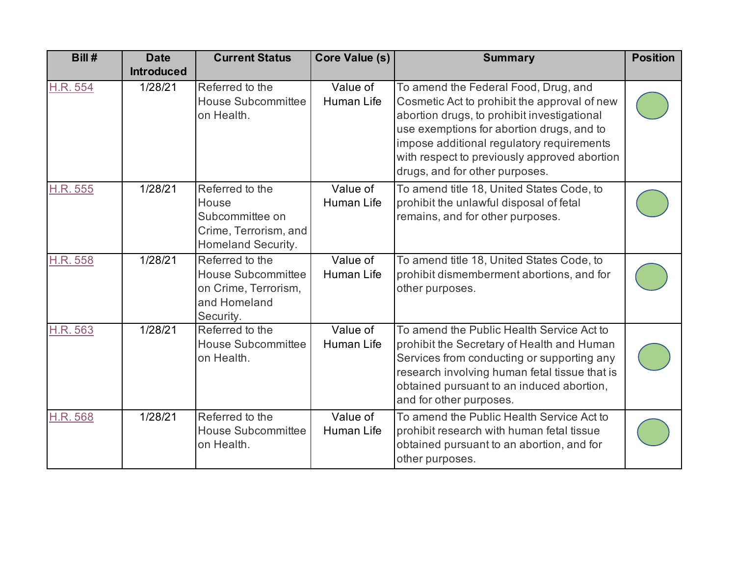| Bill #          | <b>Date</b><br><b>Introduced</b> | <b>Current Status</b>                                                                             | Core Value (s)                | <b>Summary</b>                                                                                                                                                                                                                                                                                                  | <b>Position</b> |
|-----------------|----------------------------------|---------------------------------------------------------------------------------------------------|-------------------------------|-----------------------------------------------------------------------------------------------------------------------------------------------------------------------------------------------------------------------------------------------------------------------------------------------------------------|-----------------|
| H.R. 554        | 1/28/21                          | Referred to the<br><b>House Subcommittee</b><br>on Health.                                        | Value of<br><b>Human Life</b> | To amend the Federal Food, Drug, and<br>Cosmetic Act to prohibit the approval of new<br>abortion drugs, to prohibit investigational<br>use exemptions for abortion drugs, and to<br>impose additional regulatory requirements<br>with respect to previously approved abortion<br>drugs, and for other purposes. |                 |
| <b>H.R. 555</b> | 1/28/21                          | Referred to the<br>House<br>Subcommittee on<br>Crime, Terrorism, and<br>Homeland Security.        | Value of<br>Human Life        | To amend title 18, United States Code, to<br>prohibit the unlawful disposal of fetal<br>remains, and for other purposes.                                                                                                                                                                                        |                 |
| H.R. 558        | 1/28/21                          | Referred to the<br><b>House Subcommittee</b><br>on Crime, Terrorism,<br>and Homeland<br>Security. | Value of<br><b>Human Life</b> | To amend title 18, United States Code, to<br>prohibit dismemberment abortions, and for<br>other purposes.                                                                                                                                                                                                       |                 |
| H.R. 563        | 1/28/21                          | Referred to the<br><b>House Subcommittee</b><br>on Health.                                        | Value of<br>Human Life        | To amend the Public Health Service Act to<br>prohibit the Secretary of Health and Human<br>Services from conducting or supporting any<br>research involving human fetal tissue that is<br>obtained pursuant to an induced abortion,<br>and for other purposes.                                                  |                 |
| H.R. 568        | 1/28/21                          | Referred to the<br><b>House Subcommittee</b><br>on Health.                                        | Value of<br><b>Human Life</b> | To amend the Public Health Service Act to<br>prohibit research with human fetal tissue<br>obtained pursuant to an abortion, and for<br>other purposes.                                                                                                                                                          |                 |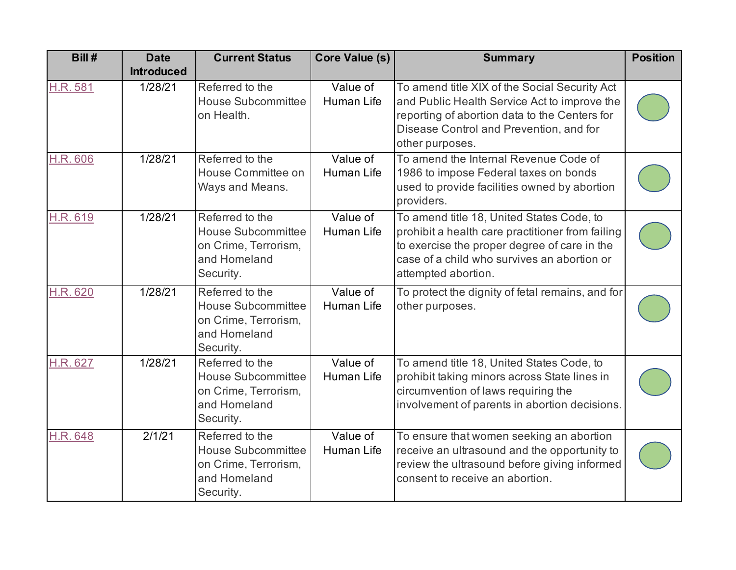| Bill#    | <b>Date</b><br><b>Introduced</b> | <b>Current Status</b>                                                                             | <b>Core Value (s)</b>         | <b>Summary</b>                                                                                                                                                                                                      | <b>Position</b> |
|----------|----------------------------------|---------------------------------------------------------------------------------------------------|-------------------------------|---------------------------------------------------------------------------------------------------------------------------------------------------------------------------------------------------------------------|-----------------|
| H.R. 581 | 1/28/21                          | Referred to the<br><b>House Subcommittee</b><br>on Health.                                        | Value of<br>Human Life        | To amend title XIX of the Social Security Act<br>and Public Health Service Act to improve the<br>reporting of abortion data to the Centers for<br>Disease Control and Prevention, and for<br>other purposes.        |                 |
| H.R. 606 | 1/28/21                          | Referred to the<br>House Committee on<br>Ways and Means.                                          | Value of<br><b>Human Life</b> | To amend the Internal Revenue Code of<br>1986 to impose Federal taxes on bonds<br>used to provide facilities owned by abortion<br>providers.                                                                        |                 |
| H.R. 619 | 1/28/21                          | Referred to the<br><b>House Subcommittee</b><br>on Crime, Terrorism,<br>and Homeland<br>Security. | Value of<br><b>Human Life</b> | To amend title 18, United States Code, to<br>prohibit a health care practitioner from failing<br>to exercise the proper degree of care in the<br>case of a child who survives an abortion or<br>attempted abortion. |                 |
| H.R. 620 | 1/28/21                          | Referred to the<br><b>House Subcommittee</b><br>on Crime, Terrorism,<br>and Homeland<br>Security. | Value of<br><b>Human Life</b> | To protect the dignity of fetal remains, and for<br>other purposes.                                                                                                                                                 |                 |
| H.R. 627 | 1/28/21                          | Referred to the<br><b>House Subcommittee</b><br>on Crime, Terrorism,<br>and Homeland<br>Security. | Value of<br><b>Human Life</b> | To amend title 18, United States Code, to<br>prohibit taking minors across State lines in<br>circumvention of laws requiring the<br>involvement of parents in abortion decisions.                                   |                 |
| H.R. 648 | 2/1/21                           | Referred to the<br><b>House Subcommittee</b><br>on Crime, Terrorism,<br>and Homeland<br>Security. | Value of<br>Human Life        | To ensure that women seeking an abortion<br>receive an ultrasound and the opportunity to<br>review the ultrasound before giving informed<br>consent to receive an abortion.                                         |                 |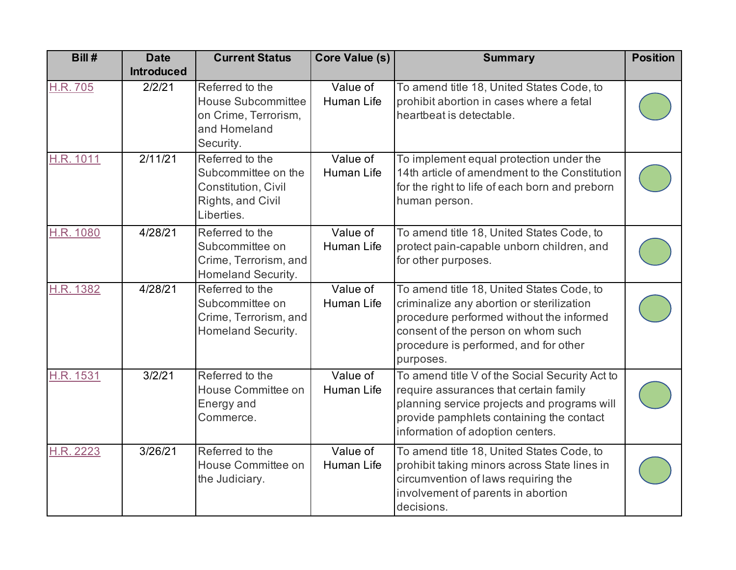| Bill#            | <b>Date</b>       | <b>Current Status</b>                                                                             | <b>Core Value (s)</b>         | <b>Summary</b>                                                                                                                                                                                                                 | <b>Position</b> |
|------------------|-------------------|---------------------------------------------------------------------------------------------------|-------------------------------|--------------------------------------------------------------------------------------------------------------------------------------------------------------------------------------------------------------------------------|-----------------|
|                  | <b>Introduced</b> |                                                                                                   |                               |                                                                                                                                                                                                                                |                 |
| H.R. 705         | 2/2/21            | Referred to the<br><b>House Subcommittee</b><br>on Crime, Terrorism,<br>and Homeland<br>Security. | Value of<br>Human Life        | To amend title 18, United States Code, to<br>prohibit abortion in cases where a fetal<br>heartbeat is detectable.                                                                                                              |                 |
| H.R. 1011        | 2/11/21           | Referred to the<br>Subcommittee on the<br>Constitution, Civil<br>Rights, and Civil<br>Liberties.  | Value of<br>Human Life        | To implement equal protection under the<br>14th article of amendment to the Constitution<br>for the right to life of each born and preborn<br>human person.                                                                    |                 |
| H.R. 1080        | 4/28/21           | Referred to the<br>Subcommittee on<br>Crime, Terrorism, and<br>Homeland Security.                 | Value of<br>Human Life        | To amend title 18, United States Code, to<br>protect pain-capable unborn children, and<br>for other purposes.                                                                                                                  |                 |
| H.R. 1382        | 4/28/21           | Referred to the<br>Subcommittee on<br>Crime, Terrorism, and<br>Homeland Security.                 | Value of<br><b>Human Life</b> | To amend title 18, United States Code, to<br>criminalize any abortion or sterilization<br>procedure performed without the informed<br>consent of the person on whom such<br>procedure is performed, and for other<br>purposes. |                 |
| <b>H.R. 1531</b> | 3/2/21            | Referred to the<br>House Committee on<br>Energy and<br>Commerce.                                  | Value of<br>Human Life        | To amend title V of the Social Security Act to<br>require assurances that certain family<br>planning service projects and programs will<br>provide pamphlets containing the contact<br>information of adoption centers.        |                 |
| H.R. 2223        | 3/26/21           | Referred to the<br>House Committee on<br>the Judiciary.                                           | Value of<br>Human Life        | To amend title 18, United States Code, to<br>prohibit taking minors across State lines in<br>circumvention of laws requiring the<br>involvement of parents in abortion<br>decisions.                                           |                 |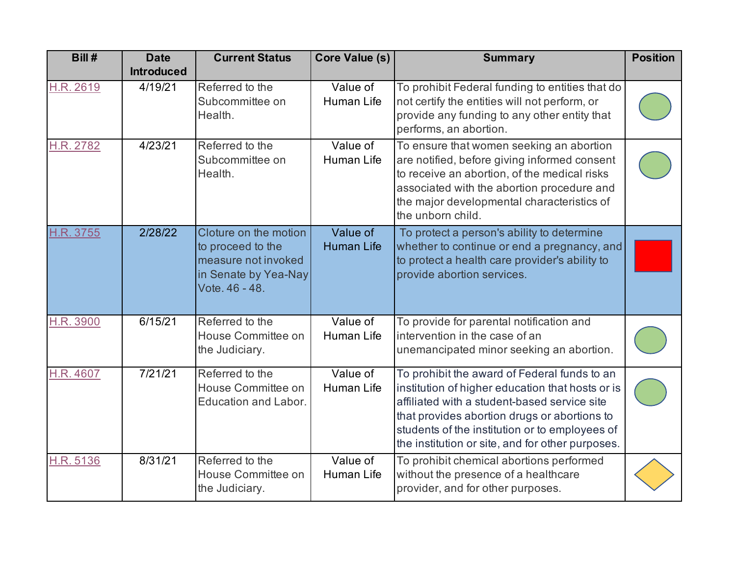| Bill#     | <b>Date</b><br><b>Introduced</b> | <b>Current Status</b>                                                                                       | <b>Core Value (s)</b>         | <b>Summary</b>                                                                                                                                                                                                                                                                                         | <b>Position</b> |
|-----------|----------------------------------|-------------------------------------------------------------------------------------------------------------|-------------------------------|--------------------------------------------------------------------------------------------------------------------------------------------------------------------------------------------------------------------------------------------------------------------------------------------------------|-----------------|
| H.R. 2619 | 4/19/21                          | Referred to the<br>Subcommittee on<br>Health.                                                               | Value of<br>Human Life        | To prohibit Federal funding to entities that do<br>not certify the entities will not perform, or<br>provide any funding to any other entity that<br>performs, an abortion.                                                                                                                             |                 |
| H.R. 2782 | 4/23/21                          | Referred to the<br>Subcommittee on<br>Health.                                                               | Value of<br>Human Life        | To ensure that women seeking an abortion<br>are notified, before giving informed consent<br>to receive an abortion, of the medical risks<br>associated with the abortion procedure and<br>the major developmental characteristics of<br>the unborn child.                                              |                 |
| H.R. 3755 | 2/28/22                          | Cloture on the motion<br>to proceed to the<br>measure not invoked<br>in Senate by Yea-Nay<br>Vote. 46 - 48. | Value of<br><b>Human Life</b> | To protect a person's ability to determine<br>whether to continue or end a pregnancy, and<br>to protect a health care provider's ability to<br>provide abortion services.                                                                                                                              |                 |
| H.R. 3900 | 6/15/21                          | Referred to the<br>House Committee on<br>the Judiciary.                                                     | Value of<br>Human Life        | To provide for parental notification and<br>intervention in the case of an<br>unemancipated minor seeking an abortion.                                                                                                                                                                                 |                 |
| H.R. 4607 | 7/21/21                          | Referred to the<br>House Committee on<br><b>Education and Labor.</b>                                        | Value of<br>Human Life        | To prohibit the award of Federal funds to an<br>institution of higher education that hosts or is<br>affiliated with a student-based service site<br>that provides abortion drugs or abortions to<br>students of the institution or to employees of<br>the institution or site, and for other purposes. |                 |
| H.R. 5136 | 8/31/21                          | Referred to the<br>House Committee on<br>the Judiciary.                                                     | Value of<br>Human Life        | To prohibit chemical abortions performed<br>without the presence of a healthcare<br>provider, and for other purposes.                                                                                                                                                                                  |                 |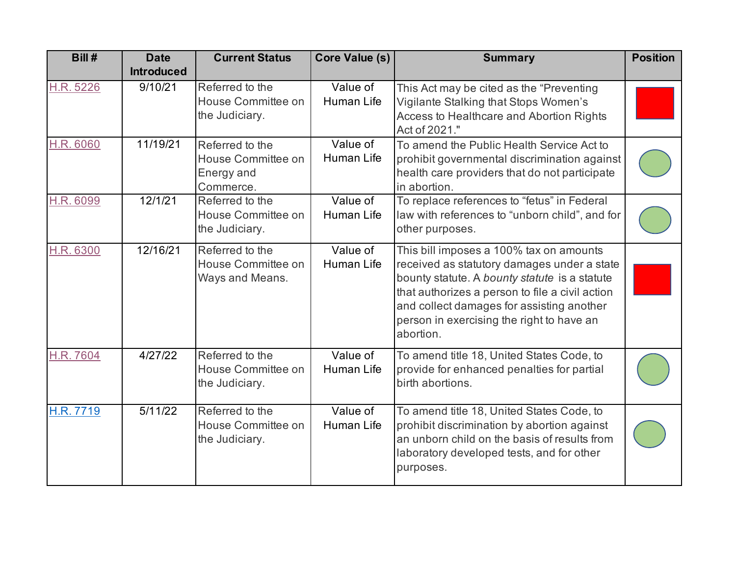| Bill#     | <b>Date</b><br><b>Introduced</b> | <b>Current Status</b>                                            | Core Value (s)         | <b>Summary</b>                                                                                                                                                                                                                                                                                    | <b>Position</b> |
|-----------|----------------------------------|------------------------------------------------------------------|------------------------|---------------------------------------------------------------------------------------------------------------------------------------------------------------------------------------------------------------------------------------------------------------------------------------------------|-----------------|
| H.R. 5226 | 9/10/21                          | Referred to the<br>House Committee on<br>the Judiciary.          | Value of<br>Human Life | This Act may be cited as the "Preventing"<br>Vigilante Stalking that Stops Women's<br>Access to Healthcare and Abortion Rights<br>Act of 2021."                                                                                                                                                   |                 |
| H.R. 6060 | 11/19/21                         | Referred to the<br>House Committee on<br>Energy and<br>Commerce. | Value of<br>Human Life | To amend the Public Health Service Act to<br>prohibit governmental discrimination against<br>health care providers that do not participate<br>in abortion.                                                                                                                                        |                 |
| H.R. 6099 | 12/1/21                          | Referred to the<br>House Committee on<br>the Judiciary.          | Value of<br>Human Life | To replace references to "fetus" in Federal<br>law with references to "unborn child", and for<br>other purposes.                                                                                                                                                                                  |                 |
| H.R. 6300 | 12/16/21                         | Referred to the<br>House Committee on<br>Ways and Means.         | Value of<br>Human Life | This bill imposes a 100% tax on amounts<br>received as statutory damages under a state<br>bounty statute. A bounty statute is a statute<br>that authorizes a person to file a civil action<br>and collect damages for assisting another<br>person in exercising the right to have an<br>abortion. |                 |
| H.R. 7604 | 4/27/22                          | Referred to the<br>House Committee on<br>the Judiciary.          | Value of<br>Human Life | To amend title 18, United States Code, to<br>provide for enhanced penalties for partial<br>birth abortions.                                                                                                                                                                                       |                 |
| H.R. 7719 | $\overline{5}/11/22$             | Referred to the<br>House Committee on<br>the Judiciary.          | Value of<br>Human Life | To amend title 18, United States Code, to<br>prohibit discrimination by abortion against<br>an unborn child on the basis of results from<br>laboratory developed tests, and for other<br>purposes.                                                                                                |                 |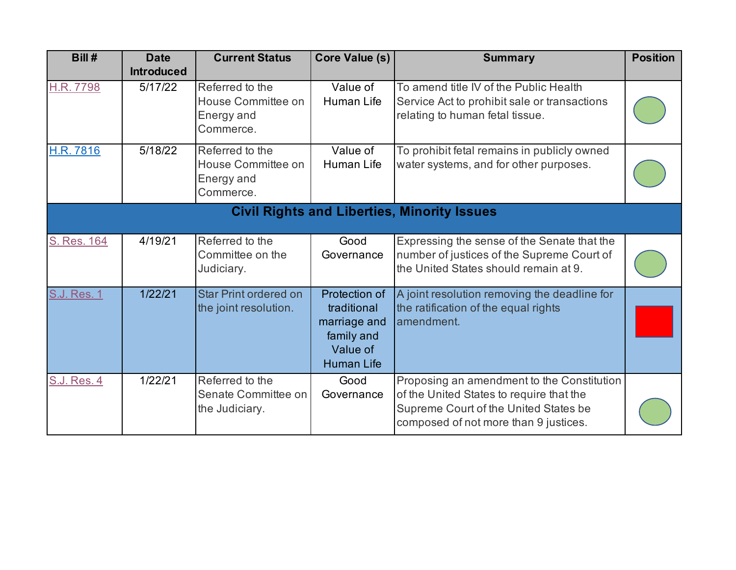| Bill #             | <b>Date</b><br><b>Introduced</b> | <b>Current Status</b>                                            | <b>Core Value (s)</b>                                                                       | <b>Summary</b>                                                                                                                                                           | <b>Position</b> |
|--------------------|----------------------------------|------------------------------------------------------------------|---------------------------------------------------------------------------------------------|--------------------------------------------------------------------------------------------------------------------------------------------------------------------------|-----------------|
| H.R. 7798          | 5/17/22                          | Referred to the<br>House Committee on<br>Energy and<br>Commerce. | Value of<br>Human Life                                                                      | To amend title IV of the Public Health<br>Service Act to prohibit sale or transactions<br>relating to human fetal tissue.                                                |                 |
| <b>H.R. 7816</b>   | 5/18/22                          | Referred to the<br>House Committee on<br>Energy and<br>Commerce. | Value of<br><b>Human Life</b>                                                               | To prohibit fetal remains in publicly owned<br>water systems, and for other purposes.                                                                                    |                 |
|                    |                                  |                                                                  |                                                                                             | <b>Civil Rights and Liberties, Minority Issues</b>                                                                                                                       |                 |
| S. Res. 164        | 4/19/21                          | Referred to the<br>Committee on the<br>Judiciary.                | Good<br>Governance                                                                          | Expressing the sense of the Senate that the<br>number of justices of the Supreme Court of<br>the United States should remain at 9.                                       |                 |
| <b>S.J. Res. 1</b> | 1/22/21                          | <b>Star Print ordered on</b><br>the joint resolution.            | Protection of<br>traditional<br>marriage and<br>family and<br>Value of<br><b>Human Life</b> | A joint resolution removing the deadline for<br>the ratification of the equal rights<br>amendment.                                                                       |                 |
| <b>S.J. Res. 4</b> | 1/22/21                          | Referred to the<br>Senate Committee on<br>the Judiciary.         | Good<br>Governance                                                                          | Proposing an amendment to the Constitution<br>of the United States to require that the<br>Supreme Court of the United States be<br>composed of not more than 9 justices. |                 |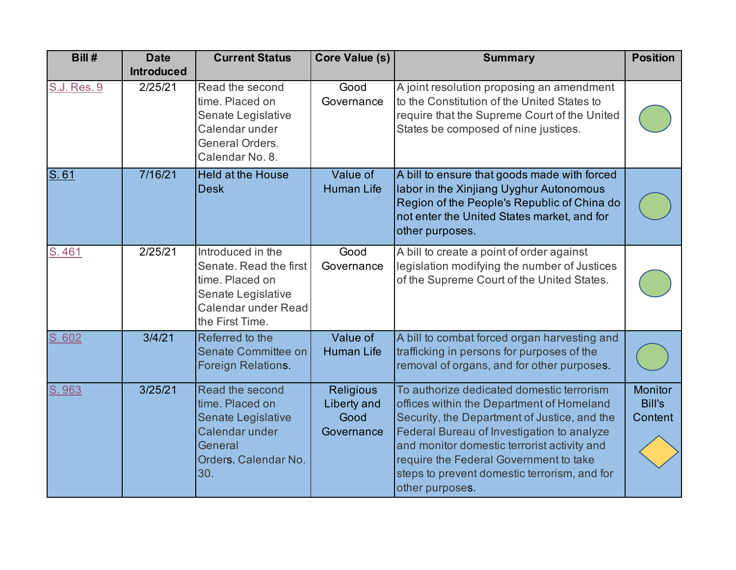| Bill#       | <b>Date</b><br><b>Introduced</b> | <b>Current Status</b>                                                                                                          | <b>Core Value (s)</b>                                 | <b>Summary</b>                                                                                                                                                                                                                                                                                                                                   | <b>Position</b>                            |
|-------------|----------------------------------|--------------------------------------------------------------------------------------------------------------------------------|-------------------------------------------------------|--------------------------------------------------------------------------------------------------------------------------------------------------------------------------------------------------------------------------------------------------------------------------------------------------------------------------------------------------|--------------------------------------------|
| S.J. Res. 9 | 2/25/21                          | Read the second<br>time. Placed on<br>Senate Legislative<br>Calendar under<br>General Orders.<br>Calendar No. 8.               | Good<br>Governance                                    | A joint resolution proposing an amendment<br>to the Constitution of the United States to<br>require that the Supreme Court of the United<br>States be composed of nine justices.                                                                                                                                                                 |                                            |
| S.61        | 7/16/21                          | <b>Held at the House</b><br><b>Desk</b>                                                                                        | Value of<br><b>Human Life</b>                         | A bill to ensure that goods made with forced<br>labor in the Xinjiang Uyghur Autonomous<br>Region of the People's Republic of China do<br>not enter the United States market, and for<br>other purposes.                                                                                                                                         |                                            |
| S.461       | 2/25/21                          | Introduced in the<br>Senate, Read the first<br>time. Placed on<br>Senate Legislative<br>Calendar under Read<br>the First Time. | Good<br>Governance                                    | A bill to create a point of order against<br>legislation modifying the number of Justices<br>of the Supreme Court of the United States.                                                                                                                                                                                                          |                                            |
| 602<br>S.   | 3/4/21                           | Referred to the<br>Senate Committee on<br>Foreign Relations.                                                                   | Value of<br><b>Human Life</b>                         | A bill to combat forced organ harvesting and<br>trafficking in persons for purposes of the<br>removal of organs, and for other purposes.                                                                                                                                                                                                         |                                            |
| S. 963      | 3/25/21                          | Read the second<br>time. Placed on<br>Senate Legislative<br>Calendar under<br>General<br>Orders. Calendar No.<br>30.           | <b>Religious</b><br>Liberty and<br>Good<br>Governance | To authorize dedicated domestic terrorism<br>offices within the Department of Homeland<br>Security, the Department of Justice, and the<br>Federal Bureau of Investigation to analyze<br>and monitor domestic terrorist activity and<br>require the Federal Government to take<br>steps to prevent domestic terrorism, and for<br>other purposes. | <b>Monitor</b><br><b>Bill's</b><br>Content |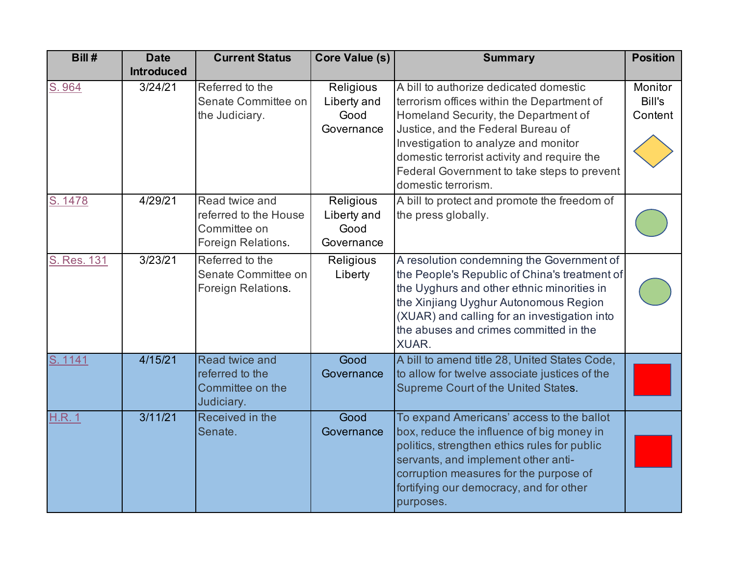| Bill#        | <b>Date</b>       | <b>Current Status</b>                                                         | Core Value (s)                                 | <b>Summary</b>                                                                                                                                                                                                                                                                                                                  | <b>Position</b>              |
|--------------|-------------------|-------------------------------------------------------------------------------|------------------------------------------------|---------------------------------------------------------------------------------------------------------------------------------------------------------------------------------------------------------------------------------------------------------------------------------------------------------------------------------|------------------------------|
|              | <b>Introduced</b> |                                                                               |                                                |                                                                                                                                                                                                                                                                                                                                 |                              |
| S. 964       | 3/24/21           | Referred to the<br>Senate Committee on<br>the Judiciary.                      | Religious<br>Liberty and<br>Good<br>Governance | A bill to authorize dedicated domestic<br>terrorism offices within the Department of<br>Homeland Security, the Department of<br>Justice, and the Federal Bureau of<br>Investigation to analyze and monitor<br>domestic terrorist activity and require the<br>Federal Government to take steps to prevent<br>domestic terrorism. | Monitor<br>Bill's<br>Content |
| S. 1478      | 4/29/21           | Read twice and<br>referred to the House<br>Committee on<br>Foreign Relations. | Religious<br>Liberty and<br>Good<br>Governance | A bill to protect and promote the freedom of<br>the press globally.                                                                                                                                                                                                                                                             |                              |
| S. Res. 131  | 3/23/21           | Referred to the<br>Senate Committee on<br>Foreign Relations.                  | Religious<br>Liberty                           | A resolution condemning the Government of<br>the People's Republic of China's treatment of<br>the Uyghurs and other ethnic minorities in<br>the Xinjiang Uyghur Autonomous Region<br>(XUAR) and calling for an investigation into<br>the abuses and crimes committed in the<br><b>XUAR.</b>                                     |                              |
| S. 1141      | 4/15/21           | Read twice and<br>referred to the<br>Committee on the<br>Judiciary.           | Good<br>Governance                             | A bill to amend title 28, United States Code,<br>to allow for twelve associate justices of the<br>Supreme Court of the United States.                                                                                                                                                                                           |                              |
| <b>H.R.1</b> | 3/11/21           | Received in the<br>Senate.                                                    | Good<br>Governance                             | To expand Americans' access to the ballot<br>box, reduce the influence of big money in<br>politics, strengthen ethics rules for public<br>servants, and implement other anti-<br>corruption measures for the purpose of<br>fortifying our democracy, and for other<br>purposes.                                                 |                              |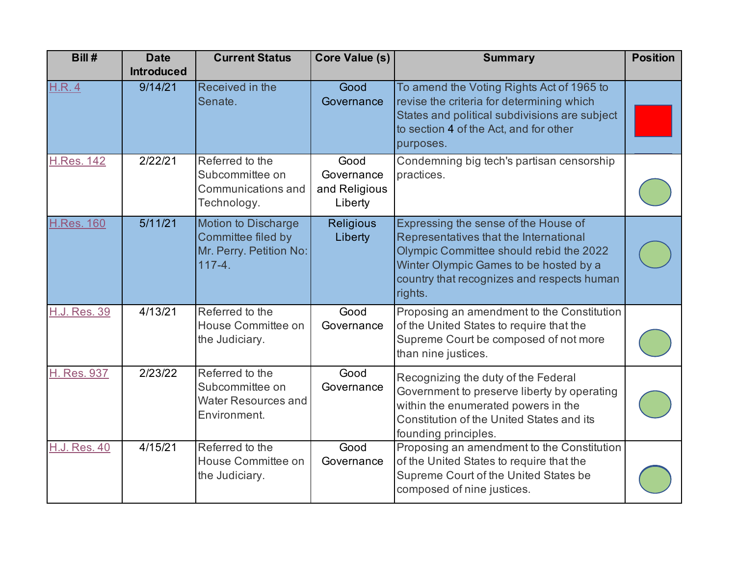| Bill#               | <b>Date</b>       | <b>Current Status</b>                                                                     | <b>Core Value (s)</b>                          | <b>Summary</b>                                                                                                                                                                                                               | <b>Position</b> |
|---------------------|-------------------|-------------------------------------------------------------------------------------------|------------------------------------------------|------------------------------------------------------------------------------------------------------------------------------------------------------------------------------------------------------------------------------|-----------------|
|                     | <b>Introduced</b> |                                                                                           |                                                |                                                                                                                                                                                                                              |                 |
| <b>H.R.4</b>        | 9/14/21           | Received in the<br>Senate.                                                                | Good<br>Governance                             | To amend the Voting Rights Act of 1965 to<br>revise the criteria for determining which<br>States and political subdivisions are subject<br>to section 4 of the Act, and for other<br>purposes.                               |                 |
| <b>H.Res. 142</b>   | 2/22/21           | Referred to the<br>Subcommittee on<br>Communications and<br>Technology.                   | Good<br>Governance<br>and Religious<br>Liberty | Condemning big tech's partisan censorship<br>practices.                                                                                                                                                                      |                 |
| <b>H.Res. 160</b>   | 5/11/21           | <b>Motion to Discharge</b><br>Committee filed by<br>Mr. Perry. Petition No:<br>$117 - 4.$ | <b>Religious</b><br>Liberty                    | Expressing the sense of the House of<br>Representatives that the International<br>Olympic Committee should rebid the 2022<br>Winter Olympic Games to be hosted by a<br>country that recognizes and respects human<br>rights. |                 |
| H.J. Res. 39        | 4/13/21           | Referred to the<br>House Committee on<br>the Judiciary.                                   | Good<br>Governance                             | Proposing an amendment to the Constitution<br>of the United States to require that the<br>Supreme Court be composed of not more<br>than nine justices.                                                                       |                 |
| H. Res. 937         | 2/23/22           | Referred to the<br>Subcommittee on<br>Water Resources and<br>Environment.                 | Good<br>Governance                             | Recognizing the duty of the Federal<br>Government to preserve liberty by operating<br>within the enumerated powers in the<br>Constitution of the United States and its<br>founding principles.                               |                 |
| <b>H.J. Res. 40</b> | 4/15/21           | Referred to the<br>House Committee on<br>the Judiciary.                                   | Good<br>Governance                             | Proposing an amendment to the Constitution<br>of the United States to require that the<br>Supreme Court of the United States be<br>composed of nine justices.                                                                |                 |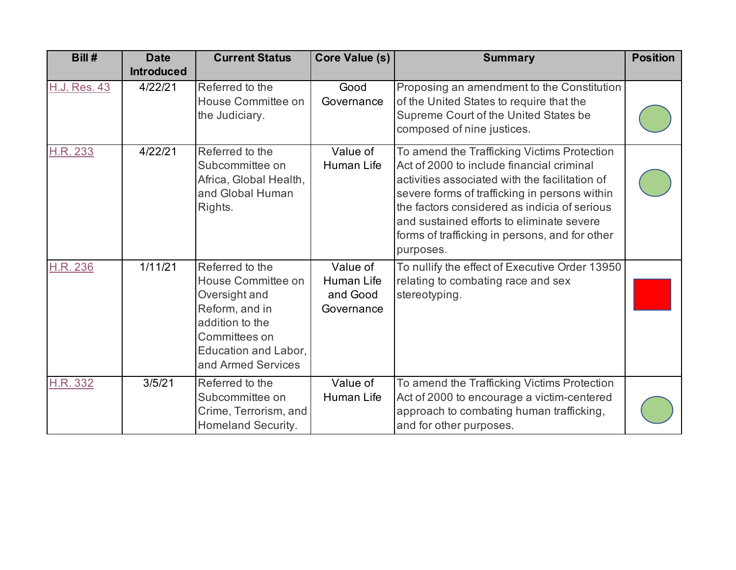| Bill#               | <b>Date</b><br><b>Introduced</b> | <b>Current Status</b>                                                                                                                                      | Core Value (s)                                   | <b>Summary</b>                                                                                                                                                                                                                                                                                                                                          | <b>Position</b> |
|---------------------|----------------------------------|------------------------------------------------------------------------------------------------------------------------------------------------------------|--------------------------------------------------|---------------------------------------------------------------------------------------------------------------------------------------------------------------------------------------------------------------------------------------------------------------------------------------------------------------------------------------------------------|-----------------|
| <b>H.J. Res. 43</b> | 4/22/21                          | Referred to the<br>House Committee on<br>the Judiciary.                                                                                                    | Good<br>Governance                               | Proposing an amendment to the Constitution<br>of the United States to require that the<br>Supreme Court of the United States be<br>composed of nine justices.                                                                                                                                                                                           |                 |
| H.R. 233            | 4/22/21                          | Referred to the<br>Subcommittee on<br>Africa, Global Health,<br>and Global Human<br>Rights.                                                                | Value of<br>Human Life                           | To amend the Trafficking Victims Protection<br>Act of 2000 to include financial criminal<br>activities associated with the facilitation of<br>severe forms of trafficking in persons within<br>the factors considered as indicia of serious<br>and sustained efforts to eliminate severe<br>forms of trafficking in persons, and for other<br>purposes. |                 |
| <b>H.R. 236</b>     | 1/11/21                          | Referred to the<br>House Committee on<br>Oversight and<br>Reform, and in<br>addition to the<br>Committees on<br>Education and Labor,<br>and Armed Services | Value of<br>Human Life<br>and Good<br>Governance | To nullify the effect of Executive Order 13950<br>relating to combating race and sex<br>stereotyping.                                                                                                                                                                                                                                                   |                 |
| <b>H.R. 332</b>     | 3/5/21                           | Referred to the<br>Subcommittee on<br>Crime, Terrorism, and<br>Homeland Security.                                                                          | Value of<br>Human Life                           | To amend the Trafficking Victims Protection<br>Act of 2000 to encourage a victim-centered<br>approach to combating human trafficking,<br>and for other purposes.                                                                                                                                                                                        |                 |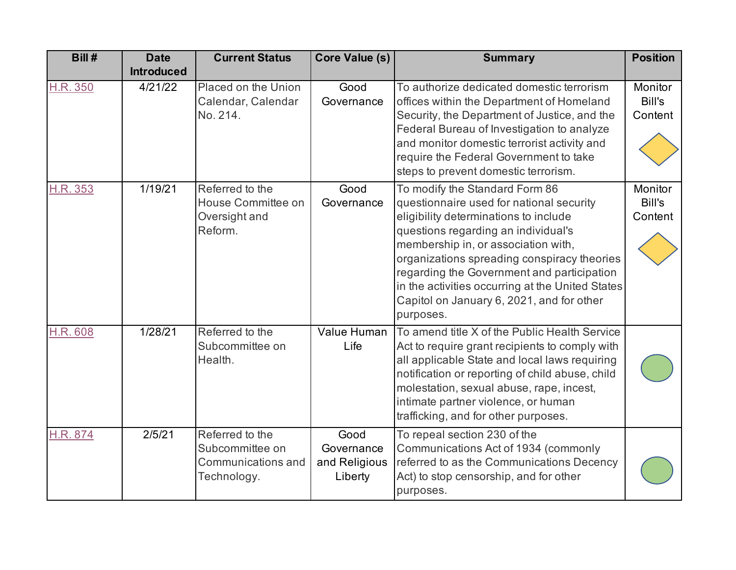| Bill#           | <b>Date</b>       | <b>Current Status</b>                                                   | Core Value (s)                                 | <b>Summary</b>                                                                                                                                                                                                                                                                                                                                                                                               | <b>Position</b>              |
|-----------------|-------------------|-------------------------------------------------------------------------|------------------------------------------------|--------------------------------------------------------------------------------------------------------------------------------------------------------------------------------------------------------------------------------------------------------------------------------------------------------------------------------------------------------------------------------------------------------------|------------------------------|
|                 | <b>Introduced</b> |                                                                         |                                                |                                                                                                                                                                                                                                                                                                                                                                                                              |                              |
| H.R. 350        | 4/21/22           | Placed on the Union<br>Calendar, Calendar<br>No. 214.                   | Good<br>Governance                             | To authorize dedicated domestic terrorism<br>offices within the Department of Homeland<br>Security, the Department of Justice, and the<br>Federal Bureau of Investigation to analyze<br>and monitor domestic terrorist activity and<br>require the Federal Government to take<br>steps to prevent domestic terrorism.                                                                                        | Monitor<br>Bill's<br>Content |
| H.R. 353        | 1/19/21           | Referred to the<br>House Committee on<br>Oversight and<br>Reform.       | Good<br>Governance                             | To modify the Standard Form 86<br>questionnaire used for national security<br>eligibility determinations to include<br>questions regarding an individual's<br>membership in, or association with,<br>organizations spreading conspiracy theories<br>regarding the Government and participation<br>in the activities occurring at the United States<br>Capitol on January 6, 2021, and for other<br>purposes. | Monitor<br>Bill's<br>Content |
| <b>H.R. 608</b> | 1/28/21           | Referred to the<br>Subcommittee on<br>Health.                           | Value Human<br>Life                            | To amend title X of the Public Health Service<br>Act to require grant recipients to comply with<br>all applicable State and local laws requiring<br>notification or reporting of child abuse, child<br>molestation, sexual abuse, rape, incest,<br>intimate partner violence, or human<br>trafficking, and for other purposes.                                                                               |                              |
| H.R. 874        | 2/5/21            | Referred to the<br>Subcommittee on<br>Communications and<br>Technology. | Good<br>Governance<br>and Religious<br>Liberty | To repeal section 230 of the<br>Communications Act of 1934 (commonly<br>referred to as the Communications Decency<br>Act) to stop censorship, and for other<br>purposes.                                                                                                                                                                                                                                     |                              |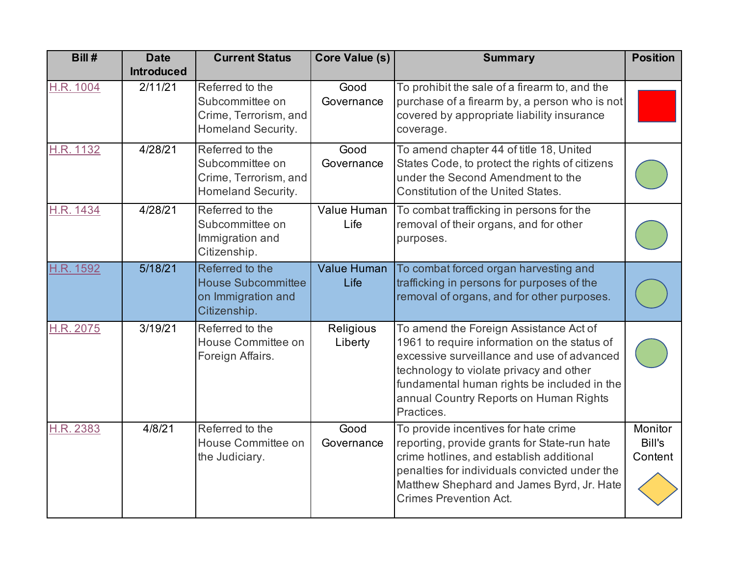| Bill #    | <b>Date</b>       | <b>Current Status</b>                                                              | Core Value (s)       | <b>Summary</b>                                                                                                                                                                                                                                                                         | <b>Position</b>              |
|-----------|-------------------|------------------------------------------------------------------------------------|----------------------|----------------------------------------------------------------------------------------------------------------------------------------------------------------------------------------------------------------------------------------------------------------------------------------|------------------------------|
|           | <b>Introduced</b> |                                                                                    |                      |                                                                                                                                                                                                                                                                                        |                              |
| H.R. 1004 | 2/11/21           | Referred to the<br>Subcommittee on<br>Crime, Terrorism, and<br>Homeland Security.  | Good<br>Governance   | To prohibit the sale of a firearm to, and the<br>purchase of a firearm by, a person who is not<br>covered by appropriate liability insurance<br>coverage.                                                                                                                              |                              |
| H.R. 1132 | 4/28/21           | Referred to the<br>Subcommittee on<br>Crime, Terrorism, and<br>Homeland Security.  | Good<br>Governance   | To amend chapter 44 of title 18, United<br>States Code, to protect the rights of citizens<br>under the Second Amendment to the<br><b>Constitution of the United States.</b>                                                                                                            |                              |
| H.R. 1434 | 4/28/21           | Referred to the<br>Subcommittee on<br>Immigration and<br>Citizenship.              | Value Human<br>Life  | To combat trafficking in persons for the<br>removal of their organs, and for other<br>purposes.                                                                                                                                                                                        |                              |
| H.R. 1592 | 5/18/21           | Referred to the<br><b>House Subcommittee</b><br>on Immigration and<br>Citizenship. | Value Human<br>Life  | To combat forced organ harvesting and<br>trafficking in persons for purposes of the<br>removal of organs, and for other purposes.                                                                                                                                                      |                              |
| H.R. 2075 | 3/19/21           | Referred to the<br>House Committee on<br>Foreign Affairs.                          | Religious<br>Liberty | To amend the Foreign Assistance Act of<br>1961 to require information on the status of<br>excessive surveillance and use of advanced<br>technology to violate privacy and other<br>fundamental human rights be included in the<br>annual Country Reports on Human Rights<br>Practices. |                              |
| H.R. 2383 | 4/8/21            | Referred to the<br>House Committee on<br>the Judiciary.                            | Good<br>Governance   | To provide incentives for hate crime<br>reporting, provide grants for State-run hate<br>crime hotlines, and establish additional<br>penalties for individuals convicted under the<br>Matthew Shephard and James Byrd, Jr. Hate<br><b>Crimes Prevention Act.</b>                        | Monitor<br>Bill's<br>Content |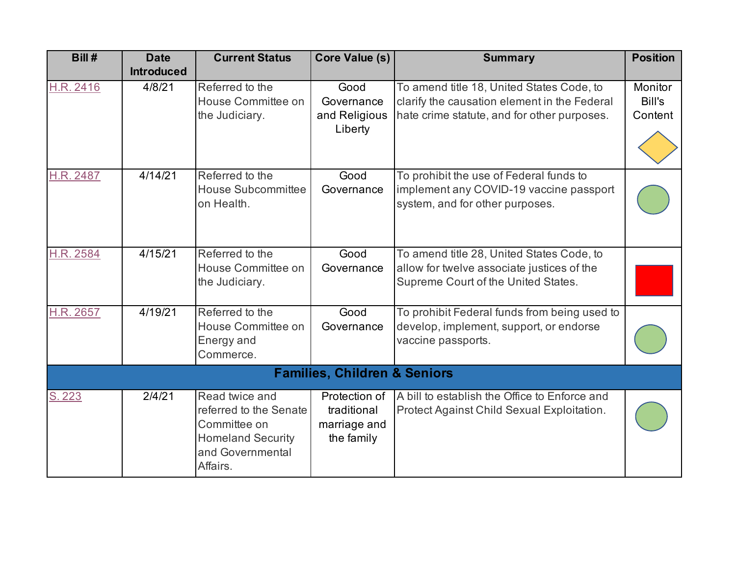| Bill#     | <b>Date</b><br><b>Introduced</b> | <b>Current Status</b>                                                                                                | <b>Core Value (s)</b>                                      | <b>Summary</b>                                                                                                                           | <b>Position</b>              |
|-----------|----------------------------------|----------------------------------------------------------------------------------------------------------------------|------------------------------------------------------------|------------------------------------------------------------------------------------------------------------------------------------------|------------------------------|
| H.R. 2416 | 4/8/21                           | Referred to the<br>House Committee on<br>the Judiciary.                                                              | Good<br>Governance<br>and Religious<br>Liberty             | To amend title 18, United States Code, to<br>clarify the causation element in the Federal<br>hate crime statute, and for other purposes. | Monitor<br>Bill's<br>Content |
| H.R. 2487 | 4/14/21                          | Referred to the<br><b>House Subcommittee</b><br>on Health.                                                           | Good<br>Governance                                         | To prohibit the use of Federal funds to<br>implement any COVID-19 vaccine passport<br>system, and for other purposes.                    |                              |
| H.R. 2584 | 4/15/21                          | Referred to the<br>House Committee on<br>the Judiciary.                                                              | Good<br>Governance                                         | To amend title 28, United States Code, to<br>allow for twelve associate justices of the<br>Supreme Court of the United States.           |                              |
| H.R. 2657 | 4/19/21                          | Referred to the<br>House Committee on<br>Energy and<br>Commerce.                                                     | Good<br>Governance                                         | To prohibit Federal funds from being used to<br>develop, implement, support, or endorse<br>vaccine passports.                            |                              |
|           |                                  |                                                                                                                      | <b>Families, Children &amp; Seniors</b>                    |                                                                                                                                          |                              |
| S. 223    | 2/4/21                           | Read twice and<br>referred to the Senate<br>Committee on<br><b>Homeland Security</b><br>and Governmental<br>Affairs. | Protection of<br>traditional<br>marriage and<br>the family | A bill to establish the Office to Enforce and<br>Protect Against Child Sexual Exploitation.                                              |                              |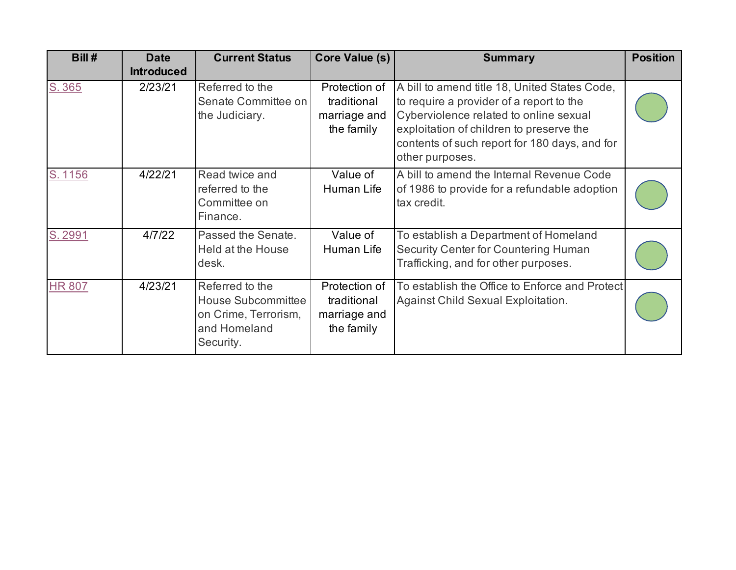| Bill #        | <b>Date</b><br><b>Introduced</b> | <b>Current Status</b>                                                                             | Core Value (s)                                             | <b>Summary</b>                                                                                                                                                                                                                                      | <b>Position</b> |
|---------------|----------------------------------|---------------------------------------------------------------------------------------------------|------------------------------------------------------------|-----------------------------------------------------------------------------------------------------------------------------------------------------------------------------------------------------------------------------------------------------|-----------------|
| S. 365        | 2/23/21                          | Referred to the<br>Senate Committee on<br>the Judiciary.                                          | Protection of<br>traditional<br>marriage and<br>the family | A bill to amend title 18, United States Code,<br>to require a provider of a report to the<br>Cyberviolence related to online sexual<br>exploitation of children to preserve the<br>contents of such report for 180 days, and for<br>other purposes. |                 |
| S. 1156       | 4/22/21                          | Read twice and<br>referred to the<br>Committee on<br>Finance.                                     | Value of<br>Human Life                                     | A bill to amend the Internal Revenue Code<br>of 1986 to provide for a refundable adoption<br>tax credit.                                                                                                                                            |                 |
| S. 2991       | 4/7/22                           | Passed the Senate.<br>Held at the House<br>desk.                                                  | Value of<br>Human Life                                     | To establish a Department of Homeland<br>Security Center for Countering Human<br>Trafficking, and for other purposes.                                                                                                                               |                 |
| <b>HR 807</b> | 4/23/21                          | Referred to the<br><b>House Subcommittee</b><br>on Crime, Terrorism,<br>and Homeland<br>Security. | Protection of<br>traditional<br>marriage and<br>the family | To establish the Office to Enforce and Protect<br>Against Child Sexual Exploitation.                                                                                                                                                                |                 |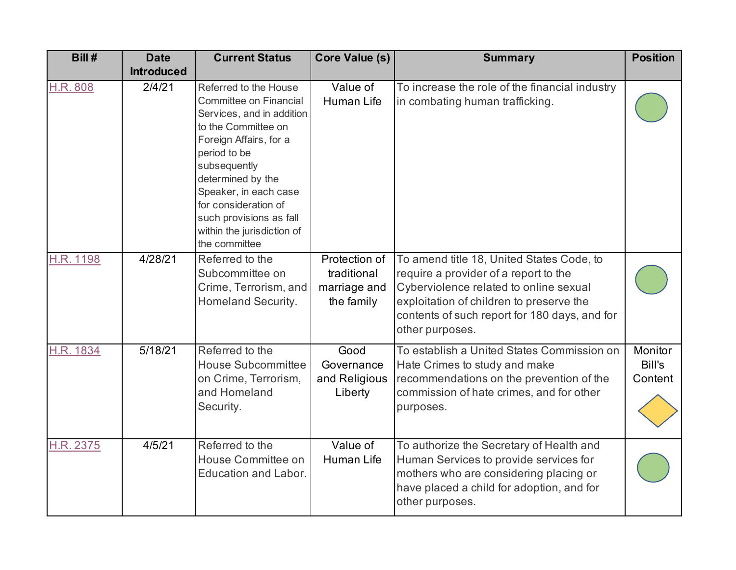| Bill#     | <b>Date</b>       | <b>Current Status</b>                                                                                                                                                                                                                                                                                         | Core Value (s)                                             | <b>Summary</b>                                                                                                                                                                                                                               | <b>Position</b>              |
|-----------|-------------------|---------------------------------------------------------------------------------------------------------------------------------------------------------------------------------------------------------------------------------------------------------------------------------------------------------------|------------------------------------------------------------|----------------------------------------------------------------------------------------------------------------------------------------------------------------------------------------------------------------------------------------------|------------------------------|
|           | <b>Introduced</b> |                                                                                                                                                                                                                                                                                                               |                                                            |                                                                                                                                                                                                                                              |                              |
| H.R. 808  | 2/4/21            | Referred to the House<br>Committee on Financial<br>Services, and in addition<br>to the Committee on<br>Foreign Affairs, for a<br>period to be<br>subsequently<br>determined by the<br>Speaker, in each case<br>for consideration of<br>such provisions as fall<br>within the jurisdiction of<br>the committee | Value of<br><b>Human Life</b>                              | To increase the role of the financial industry<br>in combating human trafficking.                                                                                                                                                            |                              |
| H.R. 1198 | 4/28/21           | Referred to the<br>Subcommittee on<br>Crime, Terrorism, and<br>Homeland Security.                                                                                                                                                                                                                             | Protection of<br>traditional<br>marriage and<br>the family | To amend title 18, United States Code, to<br>require a provider of a report to the<br>Cyberviolence related to online sexual<br>exploitation of children to preserve the<br>contents of such report for 180 days, and for<br>other purposes. |                              |
| H.R. 1834 | 5/18/21           | Referred to the<br><b>House Subcommittee</b><br>on Crime, Terrorism,<br>and Homeland<br>Security.                                                                                                                                                                                                             | Good<br>Governance<br>and Religious<br>Liberty             | To establish a United States Commission on<br>Hate Crimes to study and make<br>recommendations on the prevention of the<br>commission of hate crimes, and for other<br>purposes.                                                             | Monitor<br>Bill's<br>Content |
| H.R. 2375 | 4/5/21            | Referred to the<br>House Committee on<br><b>Education and Labor.</b>                                                                                                                                                                                                                                          | Value of<br>Human Life                                     | To authorize the Secretary of Health and<br>Human Services to provide services for<br>mothers who are considering placing or<br>have placed a child for adoption, and for<br>other purposes.                                                 |                              |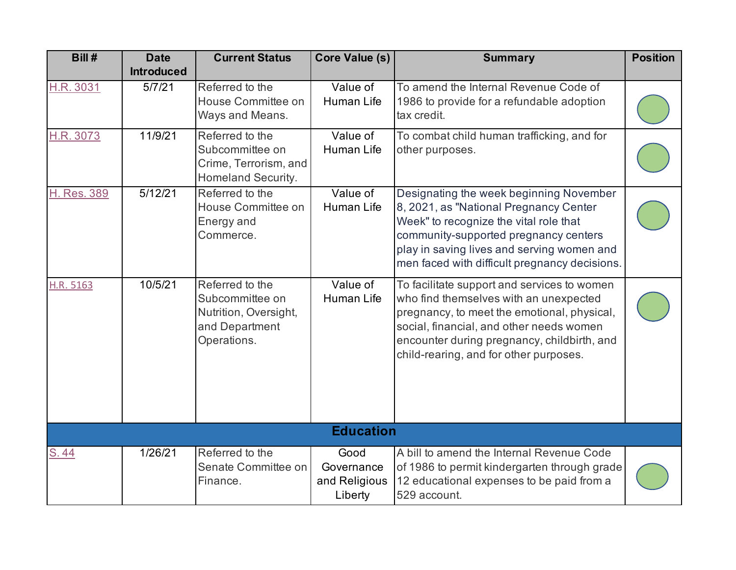| Bill#       | <b>Date</b>       | <b>Current Status</b>                                                                        | Core Value (s)                                 | <b>Summary</b>                                                                                                                                                                                                                                                            | <b>Position</b> |
|-------------|-------------------|----------------------------------------------------------------------------------------------|------------------------------------------------|---------------------------------------------------------------------------------------------------------------------------------------------------------------------------------------------------------------------------------------------------------------------------|-----------------|
|             | <b>Introduced</b> |                                                                                              |                                                |                                                                                                                                                                                                                                                                           |                 |
| H.R. 3031   | 5/7/21            | Referred to the<br>House Committee on<br>Ways and Means.                                     | Value of<br>Human Life                         | To amend the Internal Revenue Code of<br>1986 to provide for a refundable adoption<br>tax credit.                                                                                                                                                                         |                 |
| H.R. 3073   | 11/9/21           | Referred to the<br>Subcommittee on<br>Crime, Terrorism, and<br>Homeland Security.            | Value of<br><b>Human Life</b>                  | To combat child human trafficking, and for<br>other purposes.                                                                                                                                                                                                             |                 |
| H. Res. 389 | 5/12/21           | Referred to the<br>House Committee on<br>Energy and<br>Commerce.                             | Value of<br>Human Life                         | Designating the week beginning November<br>8, 2021, as "National Pregnancy Center<br>Week" to recognize the vital role that<br>community-supported pregnancy centers<br>play in saving lives and serving women and<br>men faced with difficult pregnancy decisions.       |                 |
| H.R. 5163   | 10/5/21           | Referred to the<br>Subcommittee on<br>Nutrition, Oversight,<br>and Department<br>Operations. | Value of<br>Human Life                         | To facilitate support and services to women<br>who find themselves with an unexpected<br>pregnancy, to meet the emotional, physical,<br>social, financial, and other needs women<br>encounter during pregnancy, childbirth, and<br>child-rearing, and for other purposes. |                 |
|             |                   |                                                                                              | <b>Education</b>                               |                                                                                                                                                                                                                                                                           |                 |
| S.44        | 1/26/21           | Referred to the<br>Senate Committee on<br>Finance.                                           | Good<br>Governance<br>and Religious<br>Liberty | A bill to amend the Internal Revenue Code<br>of 1986 to permit kindergarten through grade<br>12 educational expenses to be paid from a<br>529 account.                                                                                                                    |                 |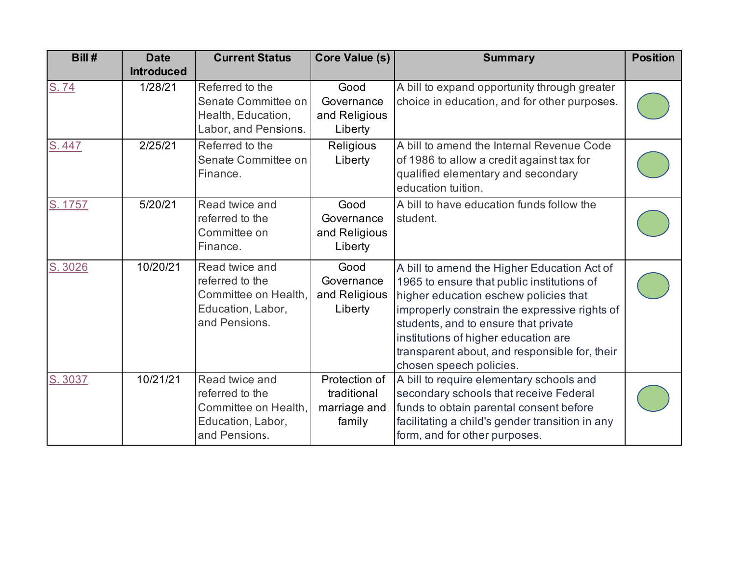| Bill#   | <b>Date</b><br><b>Introduced</b> | <b>Current Status</b>                                                                           | <b>Core Value (s)</b>                                  | <b>Summary</b>                                                                                                                                                                                                                                                                                                                                  | <b>Position</b> |
|---------|----------------------------------|-------------------------------------------------------------------------------------------------|--------------------------------------------------------|-------------------------------------------------------------------------------------------------------------------------------------------------------------------------------------------------------------------------------------------------------------------------------------------------------------------------------------------------|-----------------|
| S.74    | 1/28/21                          | Referred to the<br>Senate Committee on<br>Health, Education,<br>Labor, and Pensions.            | Good<br>Governance<br>and Religious<br>Liberty         | A bill to expand opportunity through greater<br>choice in education, and for other purposes.                                                                                                                                                                                                                                                    |                 |
| S.447   | 2/25/21                          | Referred to the<br>Senate Committee on<br>Finance.                                              | Religious<br>Liberty                                   | A bill to amend the Internal Revenue Code<br>of 1986 to allow a credit against tax for<br>qualified elementary and secondary<br>education tuition.                                                                                                                                                                                              |                 |
| S. 1757 | 5/20/21                          | Read twice and<br>referred to the<br>Committee on<br>Finance.                                   | Good<br>Governance<br>and Religious<br>Liberty         | A bill to have education funds follow the<br>student.                                                                                                                                                                                                                                                                                           |                 |
| S. 3026 | 10/20/21                         | Read twice and<br>referred to the<br>Committee on Health,<br>Education, Labor,<br>and Pensions. | Good<br>Governance<br>and Religious<br>Liberty         | A bill to amend the Higher Education Act of<br>1965 to ensure that public institutions of<br>higher education eschew policies that<br>improperly constrain the expressive rights of<br>students, and to ensure that private<br>institutions of higher education are<br>transparent about, and responsible for, their<br>chosen speech policies. |                 |
| S. 3037 | 10/21/21                         | Read twice and<br>referred to the<br>Committee on Health,<br>Education, Labor,<br>and Pensions. | Protection of<br>traditional<br>marriage and<br>family | A bill to require elementary schools and<br>secondary schools that receive Federal<br>funds to obtain parental consent before<br>facilitating a child's gender transition in any<br>form, and for other purposes.                                                                                                                               |                 |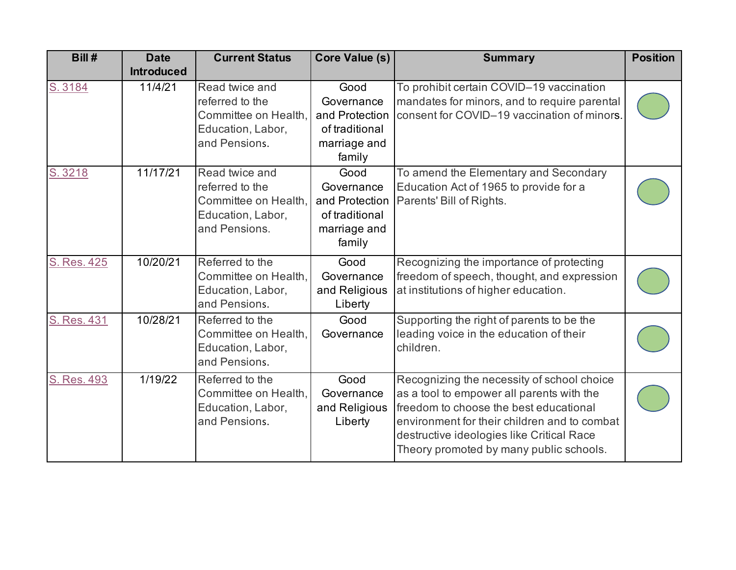| Bill#       | <b>Date</b><br><b>Introduced</b> | <b>Current Status</b>                                                                           | Core Value (s)                                                                   | <b>Summary</b>                                                                                                                                                                                                                                                            | <b>Position</b> |
|-------------|----------------------------------|-------------------------------------------------------------------------------------------------|----------------------------------------------------------------------------------|---------------------------------------------------------------------------------------------------------------------------------------------------------------------------------------------------------------------------------------------------------------------------|-----------------|
| S. 3184     | 11/4/21                          | Read twice and<br>referred to the<br>Committee on Health,<br>Education, Labor,<br>and Pensions. | Good<br>Governance<br>and Protection<br>of traditional<br>marriage and<br>family | To prohibit certain COVID-19 vaccination<br>mandates for minors, and to require parental<br>consent for COVID-19 vaccination of minors.                                                                                                                                   |                 |
| S. 3218     | 11/17/21                         | Read twice and<br>referred to the<br>Committee on Health,<br>Education, Labor,<br>and Pensions. | Good<br>Governance<br>and Protection<br>of traditional<br>marriage and<br>family | To amend the Elementary and Secondary<br>Education Act of 1965 to provide for a<br>Parents' Bill of Rights.                                                                                                                                                               |                 |
| S. Res. 425 | 10/20/21                         | Referred to the<br>Committee on Health,<br>Education, Labor,<br>and Pensions.                   | Good<br>Governance<br>and Religious<br>Liberty                                   | Recognizing the importance of protecting<br>freedom of speech, thought, and expression<br>at institutions of higher education.                                                                                                                                            |                 |
| S. Res. 431 | 10/28/21                         | Referred to the<br>Committee on Health,<br>Education, Labor,<br>and Pensions.                   | Good<br>Governance                                                               | Supporting the right of parents to be the<br>leading voice in the education of their<br>children.                                                                                                                                                                         |                 |
| S. Res. 493 | 1/19/22                          | Referred to the<br>Committee on Health,<br>Education, Labor,<br>and Pensions.                   | Good<br>Governance<br>and Religious<br>Liberty                                   | Recognizing the necessity of school choice<br>as a tool to empower all parents with the<br>freedom to choose the best educational<br>environment for their children and to combat<br>destructive ideologies like Critical Race<br>Theory promoted by many public schools. |                 |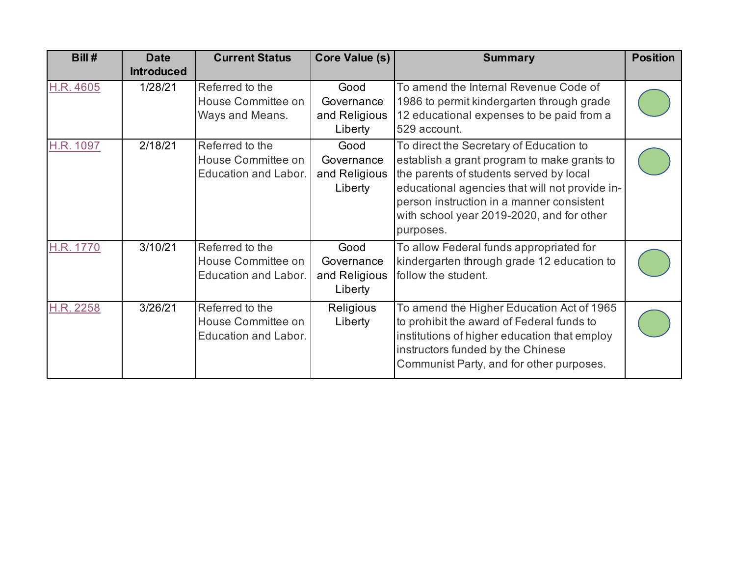| Bill#     | <b>Date</b>                  | <b>Current Status</b>                                                | Core Value (s)                                 | <b>Summary</b>                                                                                                                                                                                                                                                                             | <b>Position</b> |
|-----------|------------------------------|----------------------------------------------------------------------|------------------------------------------------|--------------------------------------------------------------------------------------------------------------------------------------------------------------------------------------------------------------------------------------------------------------------------------------------|-----------------|
| H.R. 4605 | <b>Introduced</b><br>1/28/21 | Referred to the                                                      | Good                                           | To amend the Internal Revenue Code of                                                                                                                                                                                                                                                      |                 |
|           |                              | House Committee on<br>Ways and Means.                                | Governance<br>and Religious<br>Liberty         | 1986 to permit kindergarten through grade<br>12 educational expenses to be paid from a<br>529 account.                                                                                                                                                                                     |                 |
| H.R. 1097 | 2/18/21                      | Referred to the<br>House Committee on<br><b>Education and Labor.</b> | Good<br>Governance<br>and Religious<br>Liberty | To direct the Secretary of Education to<br>establish a grant program to make grants to<br>the parents of students served by local<br>educational agencies that will not provide in-<br>person instruction in a manner consistent<br>with school year 2019-2020, and for other<br>purposes. |                 |
| H.R. 1770 | 3/10/21                      | Referred to the<br>House Committee on<br>Education and Labor.        | Good<br>Governance<br>and Religious<br>Liberty | To allow Federal funds appropriated for<br>kindergarten through grade 12 education to<br>follow the student.                                                                                                                                                                               |                 |
| H.R. 2258 | 3/26/21                      | Referred to the<br>House Committee on<br><b>Education and Labor.</b> | Religious<br>Liberty                           | To amend the Higher Education Act of 1965<br>to prohibit the award of Federal funds to<br>institutions of higher education that employ<br>instructors funded by the Chinese<br>Communist Party, and for other purposes.                                                                    |                 |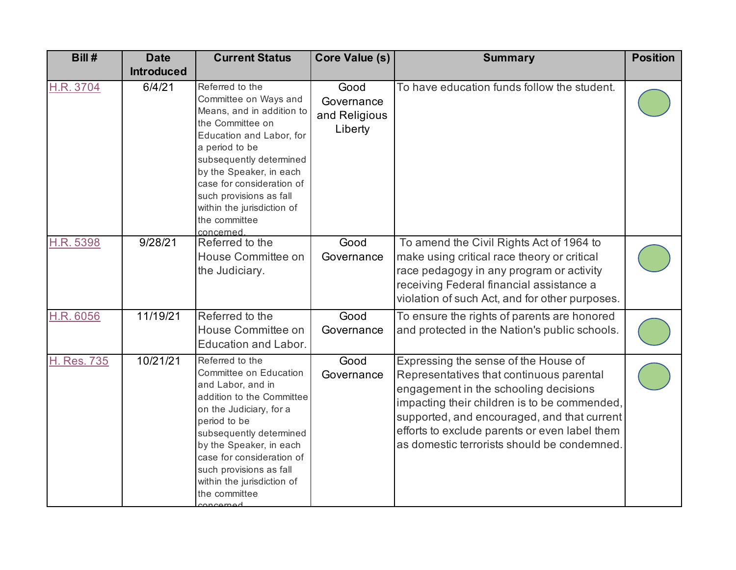| Bill#              | <b>Date</b>       | <b>Current Status</b>                                                                                                                                                                                                                                                                                              | <b>Core Value (s)</b>                          | <b>Summary</b>                                                                                                                                                                                                                                                                                                           | <b>Position</b> |
|--------------------|-------------------|--------------------------------------------------------------------------------------------------------------------------------------------------------------------------------------------------------------------------------------------------------------------------------------------------------------------|------------------------------------------------|--------------------------------------------------------------------------------------------------------------------------------------------------------------------------------------------------------------------------------------------------------------------------------------------------------------------------|-----------------|
|                    | <b>Introduced</b> |                                                                                                                                                                                                                                                                                                                    |                                                |                                                                                                                                                                                                                                                                                                                          |                 |
| H.R. 3704          | 6/4/21            | Referred to the<br>Committee on Ways and<br>Means, and in addition to<br>the Committee on<br>Education and Labor, for<br>a period to be<br>subsequently determined<br>by the Speaker, in each<br>case for consideration of<br>such provisions as fall<br>within the jurisdiction of<br>the committee<br>concerned. | Good<br>Governance<br>and Religious<br>Liberty | To have education funds follow the student.                                                                                                                                                                                                                                                                              |                 |
| H.R. 5398          | 9/28/21           | Referred to the<br>House Committee on<br>the Judiciary.                                                                                                                                                                                                                                                            | Good<br>Governance                             | To amend the Civil Rights Act of 1964 to<br>make using critical race theory or critical<br>race pedagogy in any program or activity<br>receiving Federal financial assistance a<br>violation of such Act, and for other purposes.                                                                                        |                 |
| H.R. 6056          | 11/19/21          | Referred to the<br>House Committee on<br>Education and Labor.                                                                                                                                                                                                                                                      | Good<br>Governance                             | To ensure the rights of parents are honored<br>and protected in the Nation's public schools.                                                                                                                                                                                                                             |                 |
| <b>H. Res. 735</b> | 10/21/21          | Referred to the<br>Committee on Education<br>and Labor, and in<br>addition to the Committee<br>on the Judiciary, for a<br>period to be<br>subsequently determined<br>by the Speaker, in each<br>case for consideration of<br>such provisions as fall<br>within the jurisdiction of<br>the committee                | Good<br>Governance                             | Expressing the sense of the House of<br>Representatives that continuous parental<br>engagement in the schooling decisions<br>impacting their children is to be commended,<br>supported, and encouraged, and that current<br>efforts to exclude parents or even label them<br>as domestic terrorists should be condemned. |                 |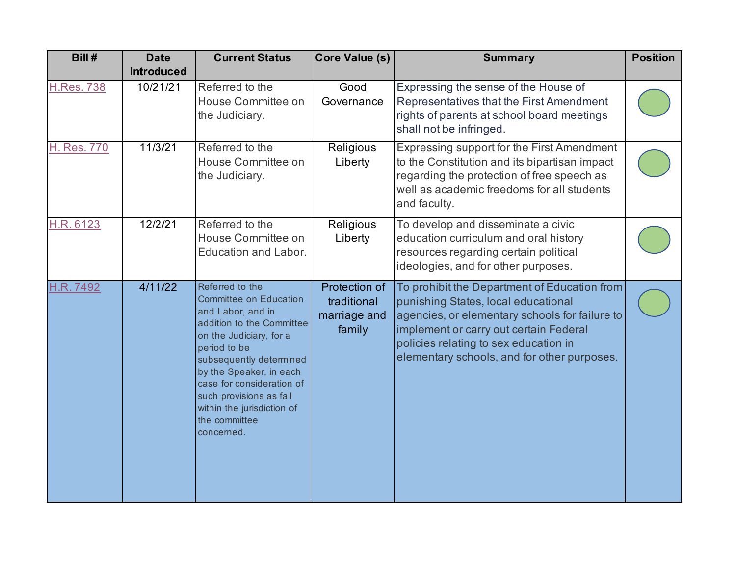| Bill#             | <b>Date</b><br><b>Introduced</b> | <b>Current Status</b>                                                                                                                                                                                                                                                                                                    | <b>Core Value (s)</b>                                  | <b>Summary</b>                                                                                                                                                                                                                                                          | <b>Position</b> |
|-------------------|----------------------------------|--------------------------------------------------------------------------------------------------------------------------------------------------------------------------------------------------------------------------------------------------------------------------------------------------------------------------|--------------------------------------------------------|-------------------------------------------------------------------------------------------------------------------------------------------------------------------------------------------------------------------------------------------------------------------------|-----------------|
| <b>H.Res. 738</b> | 10/21/21                         | Referred to the<br>House Committee on<br>the Judiciary.                                                                                                                                                                                                                                                                  | Good<br>Governance                                     | Expressing the sense of the House of<br>Representatives that the First Amendment<br>rights of parents at school board meetings<br>shall not be infringed.                                                                                                               |                 |
| H. Res. 770       | 11/3/21                          | Referred to the<br>House Committee on<br>the Judiciary.                                                                                                                                                                                                                                                                  | Religious<br>Liberty                                   | Expressing support for the First Amendment<br>to the Constitution and its bipartisan impact<br>regarding the protection of free speech as<br>well as academic freedoms for all students<br>and faculty.                                                                 |                 |
| H.R. 6123         | 12/2/21                          | Referred to the<br>House Committee on<br><b>Education and Labor.</b>                                                                                                                                                                                                                                                     | Religious<br>Liberty                                   | To develop and disseminate a civic<br>education curriculum and oral history<br>resources regarding certain political<br>ideologies, and for other purposes.                                                                                                             |                 |
| H.R. 7492         | 4/11/22                          | Referred to the<br><b>Committee on Education</b><br>and Labor, and in<br>addition to the Committee<br>on the Judiciary, for a<br>period to be<br>subsequently determined<br>by the Speaker, in each<br>case for consideration of<br>such provisions as fall<br>within the jurisdiction of<br>the committee<br>concerned. | Protection of<br>traditional<br>marriage and<br>family | To prohibit the Department of Education from<br>punishing States, local educational<br>agencies, or elementary schools for failure to<br>implement or carry out certain Federal<br>policies relating to sex education in<br>elementary schools, and for other purposes. |                 |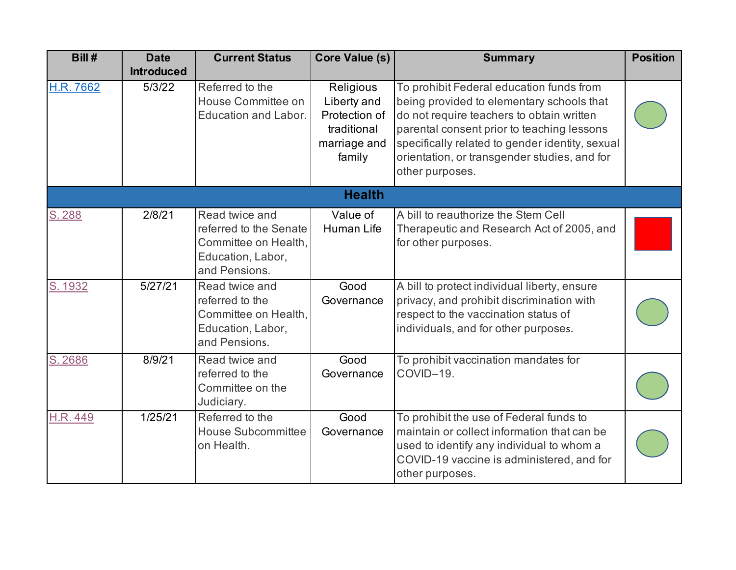| Bill#     | <b>Date</b><br><b>Introduced</b> | <b>Current Status</b>                                                                                  | Core Value (s)                                                                     | <b>Summary</b>                                                                                                                                                                                                                                                                                         | <b>Position</b> |
|-----------|----------------------------------|--------------------------------------------------------------------------------------------------------|------------------------------------------------------------------------------------|--------------------------------------------------------------------------------------------------------------------------------------------------------------------------------------------------------------------------------------------------------------------------------------------------------|-----------------|
| H.R. 7662 | 5/3/22                           | Referred to the<br>House Committee on<br><b>Education and Labor.</b>                                   | Religious<br>Liberty and<br>Protection of<br>traditional<br>marriage and<br>family | To prohibit Federal education funds from<br>being provided to elementary schools that<br>do not require teachers to obtain written<br>parental consent prior to teaching lessons<br>specifically related to gender identity, sexual<br>orientation, or transgender studies, and for<br>other purposes. |                 |
|           |                                  |                                                                                                        | <b>Health</b>                                                                      |                                                                                                                                                                                                                                                                                                        |                 |
| S. 288    | 2/8/21                           | Read twice and<br>referred to the Senate<br>Committee on Health,<br>Education, Labor,<br>and Pensions. | Value of<br>Human Life                                                             | A bill to reauthorize the Stem Cell<br>Therapeutic and Research Act of 2005, and<br>for other purposes.                                                                                                                                                                                                |                 |
| S. 1932   | 5/27/21                          | Read twice and<br>referred to the<br>Committee on Health,<br>Education, Labor,<br>and Pensions.        | Good<br>Governance                                                                 | A bill to protect individual liberty, ensure<br>privacy, and prohibit discrimination with<br>respect to the vaccination status of<br>individuals, and for other purposes.                                                                                                                              |                 |
| S. 2686   | 8/9/21                           | Read twice and<br>referred to the<br>Committee on the<br>Judiciary.                                    | Good<br>Governance                                                                 | To prohibit vaccination mandates for<br>COVID-19.                                                                                                                                                                                                                                                      |                 |
| H.R. 449  | 1/25/21                          | Referred to the<br><b>House Subcommittee</b><br>on Health.                                             | Good<br>Governance                                                                 | To prohibit the use of Federal funds to<br>maintain or collect information that can be<br>used to identify any individual to whom a<br>COVID-19 vaccine is administered, and for<br>other purposes.                                                                                                    |                 |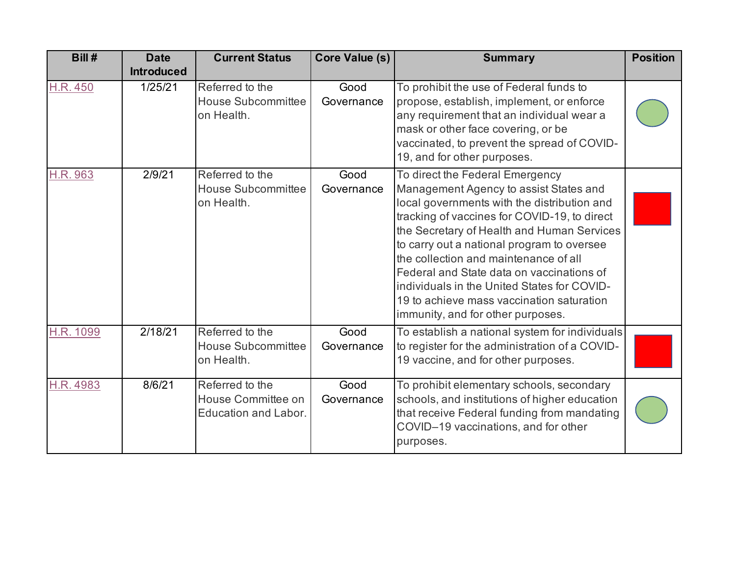| Bill#           | <b>Date</b><br><b>Introduced</b> | <b>Current Status</b>                                                | Core Value (s)     | <b>Summary</b>                                                                                                                                                                                                                                                                                                                                                                                                                                                                              | <b>Position</b> |
|-----------------|----------------------------------|----------------------------------------------------------------------|--------------------|---------------------------------------------------------------------------------------------------------------------------------------------------------------------------------------------------------------------------------------------------------------------------------------------------------------------------------------------------------------------------------------------------------------------------------------------------------------------------------------------|-----------------|
| <b>H.R. 450</b> | 1/25/21                          | Referred to the<br><b>House Subcommittee</b><br>on Health.           | Good<br>Governance | To prohibit the use of Federal funds to<br>propose, establish, implement, or enforce<br>any requirement that an individual wear a<br>mask or other face covering, or be<br>vaccinated, to prevent the spread of COVID-<br>19, and for other purposes.                                                                                                                                                                                                                                       |                 |
| H.R. 963        | 2/9/21                           | Referred to the<br><b>House Subcommittee</b><br>on Health.           | Good<br>Governance | To direct the Federal Emergency<br>Management Agency to assist States and<br>local governments with the distribution and<br>tracking of vaccines for COVID-19, to direct<br>the Secretary of Health and Human Services<br>to carry out a national program to oversee<br>the collection and maintenance of all<br>Federal and State data on vaccinations of<br>individuals in the United States for COVID-<br>19 to achieve mass vaccination saturation<br>immunity, and for other purposes. |                 |
| H.R. 1099       | 2/18/21                          | Referred to the<br><b>House Subcommittee</b><br>on Health.           | Good<br>Governance | To establish a national system for individuals<br>to register for the administration of a COVID-<br>19 vaccine, and for other purposes.                                                                                                                                                                                                                                                                                                                                                     |                 |
| H.R. 4983       | 8/6/21                           | Referred to the<br>House Committee on<br><b>Education and Labor.</b> | Good<br>Governance | To prohibit elementary schools, secondary<br>schools, and institutions of higher education<br>that receive Federal funding from mandating<br>COVID-19 vaccinations, and for other<br>purposes.                                                                                                                                                                                                                                                                                              |                 |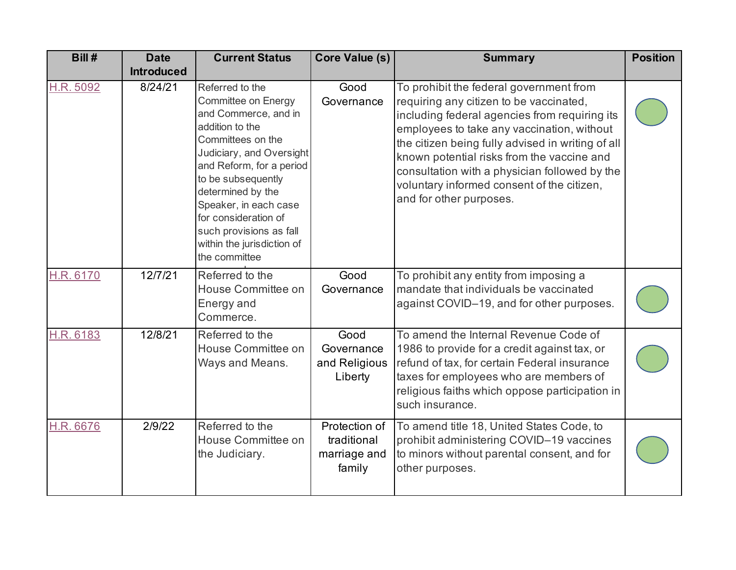| Bill#     | <b>Date</b>       | <b>Current Status</b>                                                                                                                                                                                                                                                                                                                | <b>Core Value (s)</b>                                  | <b>Summary</b>                                                                                                                                                                                                                                                                                                                                                                                                 | <b>Position</b> |
|-----------|-------------------|--------------------------------------------------------------------------------------------------------------------------------------------------------------------------------------------------------------------------------------------------------------------------------------------------------------------------------------|--------------------------------------------------------|----------------------------------------------------------------------------------------------------------------------------------------------------------------------------------------------------------------------------------------------------------------------------------------------------------------------------------------------------------------------------------------------------------------|-----------------|
|           | <b>Introduced</b> |                                                                                                                                                                                                                                                                                                                                      |                                                        |                                                                                                                                                                                                                                                                                                                                                                                                                |                 |
| H.R. 5092 | 8/24/21           | Referred to the<br>Committee on Energy<br>and Commerce, and in<br>addition to the<br>Committees on the<br>Judiciary, and Oversight<br>and Reform, for a period<br>to be subsequently<br>determined by the<br>Speaker, in each case<br>for consideration of<br>such provisions as fall<br>within the jurisdiction of<br>the committee | Good<br>Governance                                     | To prohibit the federal government from<br>requiring any citizen to be vaccinated,<br>including federal agencies from requiring its<br>employees to take any vaccination, without<br>the citizen being fully advised in writing of all<br>known potential risks from the vaccine and<br>consultation with a physician followed by the<br>voluntary informed consent of the citizen,<br>and for other purposes. |                 |
| H.R. 6170 | 12/7/21           | Referred to the<br>House Committee on<br>Energy and<br>Commerce.                                                                                                                                                                                                                                                                     | Good<br>Governance                                     | To prohibit any entity from imposing a<br>mandate that individuals be vaccinated<br>against COVID-19, and for other purposes.                                                                                                                                                                                                                                                                                  |                 |
| H.R. 6183 | 12/8/21           | Referred to the<br>House Committee on<br>Ways and Means.                                                                                                                                                                                                                                                                             | Good<br>Governance<br>and Religious<br>Liberty         | To amend the Internal Revenue Code of<br>1986 to provide for a credit against tax, or<br>refund of tax, for certain Federal insurance<br>taxes for employees who are members of<br>religious faiths which oppose participation in<br>such insurance.                                                                                                                                                           |                 |
| H.R. 6676 | 2/9/22            | Referred to the<br>House Committee on<br>the Judiciary.                                                                                                                                                                                                                                                                              | Protection of<br>traditional<br>marriage and<br>family | To amend title 18, United States Code, to<br>prohibit administering COVID-19 vaccines<br>to minors without parental consent, and for<br>other purposes.                                                                                                                                                                                                                                                        |                 |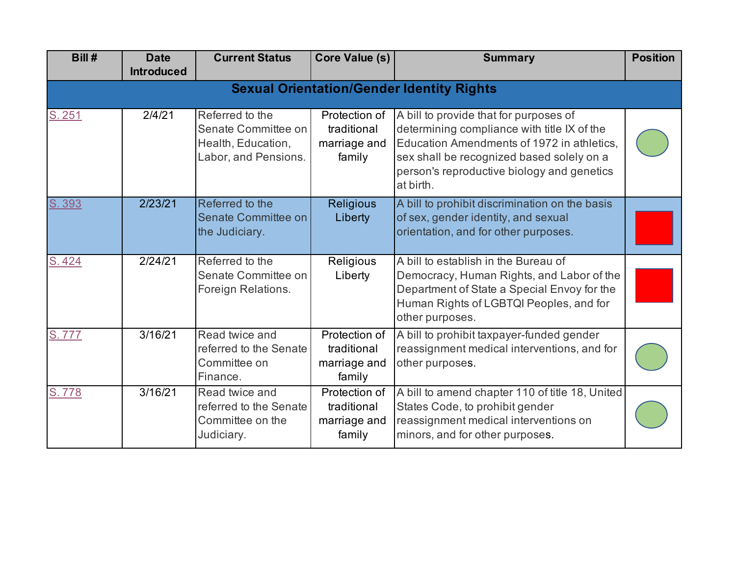| Bill#  | <b>Date</b><br><b>Introduced</b>                 | <b>Current Status</b>                                                                | <b>Core Value (s)</b>                                  | <b>Summary</b>                                                                                                                                                                                                                              | <b>Position</b> |  |  |  |  |  |
|--------|--------------------------------------------------|--------------------------------------------------------------------------------------|--------------------------------------------------------|---------------------------------------------------------------------------------------------------------------------------------------------------------------------------------------------------------------------------------------------|-----------------|--|--|--|--|--|
|        | <b>Sexual Orientation/Gender Identity Rights</b> |                                                                                      |                                                        |                                                                                                                                                                                                                                             |                 |  |  |  |  |  |
| S. 251 | 2/4/21                                           | Referred to the<br>Senate Committee on<br>Health, Education,<br>Labor, and Pensions. | Protection of<br>traditional<br>marriage and<br>family | A bill to provide that for purposes of<br>determining compliance with title IX of the<br>Education Amendments of 1972 in athletics,<br>sex shall be recognized based solely on a<br>person's reproductive biology and genetics<br>at birth. |                 |  |  |  |  |  |
| S. 393 | 2/23/21                                          | Referred to the<br>Senate Committee on<br>the Judiciary.                             | <b>Religious</b><br>Liberty                            | A bill to prohibit discrimination on the basis<br>of sex, gender identity, and sexual<br>orientation, and for other purposes.                                                                                                               |                 |  |  |  |  |  |
| S.424  | 2/24/21                                          | Referred to the<br>Senate Committee on<br>Foreign Relations.                         | Religious<br>Liberty                                   | A bill to establish in the Bureau of<br>Democracy, Human Rights, and Labor of the<br>Department of State a Special Envoy for the<br>Human Rights of LGBTQI Peoples, and for<br>other purposes.                                              |                 |  |  |  |  |  |
| S.777  | 3/16/21                                          | Read twice and<br>referred to the Senate<br>Committee on<br>Finance.                 | Protection of<br>traditional<br>marriage and<br>family | A bill to prohibit taxpayer-funded gender<br>reassignment medical interventions, and for<br>other purposes.                                                                                                                                 |                 |  |  |  |  |  |
| S.778  | 3/16/21                                          | Read twice and<br>referred to the Senate<br>Committee on the<br>Judiciary.           | Protection of<br>traditional<br>marriage and<br>family | A bill to amend chapter 110 of title 18, United<br>States Code, to prohibit gender<br>reassignment medical interventions on<br>minors, and for other purposes.                                                                              |                 |  |  |  |  |  |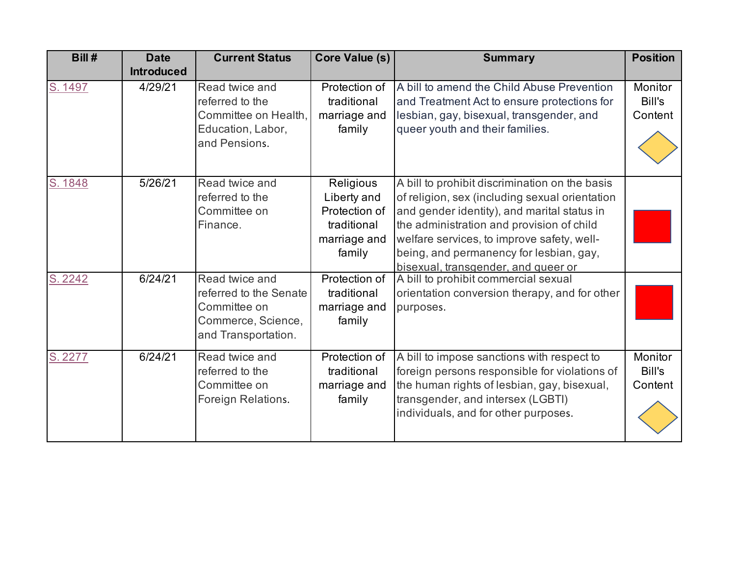| Bill#   | <b>Date</b><br><b>Introduced</b> | <b>Current Status</b>                                                                                 | <b>Core Value (s)</b>                                                              | <b>Summary</b>                                                                                                                                                                                                                                                                                                               | <b>Position</b>              |
|---------|----------------------------------|-------------------------------------------------------------------------------------------------------|------------------------------------------------------------------------------------|------------------------------------------------------------------------------------------------------------------------------------------------------------------------------------------------------------------------------------------------------------------------------------------------------------------------------|------------------------------|
| S. 1497 | 4/29/21                          | Read twice and<br>referred to the<br>Committee on Health,<br>Education, Labor,<br>and Pensions.       | Protection of<br>traditional<br>marriage and<br>family                             | A bill to amend the Child Abuse Prevention<br>and Treatment Act to ensure protections for<br>lesbian, gay, bisexual, transgender, and<br>queer youth and their families.                                                                                                                                                     | Monitor<br>Bill's<br>Content |
| S. 1848 | 5/26/21                          | Read twice and<br>referred to the<br>Committee on<br>Finance.                                         | Religious<br>Liberty and<br>Protection of<br>traditional<br>marriage and<br>family | A bill to prohibit discrimination on the basis<br>of religion, sex (including sexual orientation<br>and gender identity), and marital status in<br>the administration and provision of child<br>welfare services, to improve safety, well-<br>being, and permanency for lesbian, gay,<br>bisexual, transgender, and queer or |                              |
| S. 2242 | 6/24/21                          | Read twice and<br>referred to the Senate<br>Committee on<br>Commerce, Science,<br>and Transportation. | Protection of<br>traditional<br>marriage and<br>family                             | A bill to prohibit commercial sexual<br>orientation conversion therapy, and for other<br>purposes.                                                                                                                                                                                                                           |                              |
| S. 2277 | 6/24/21                          | Read twice and<br>referred to the<br>Committee on<br>Foreign Relations.                               | Protection of<br>traditional<br>marriage and<br>family                             | A bill to impose sanctions with respect to<br>foreign persons responsible for violations of<br>the human rights of lesbian, gay, bisexual,<br>transgender, and intersex (LGBTI)<br>individuals, and for other purposes.                                                                                                      | Monitor<br>Bill's<br>Content |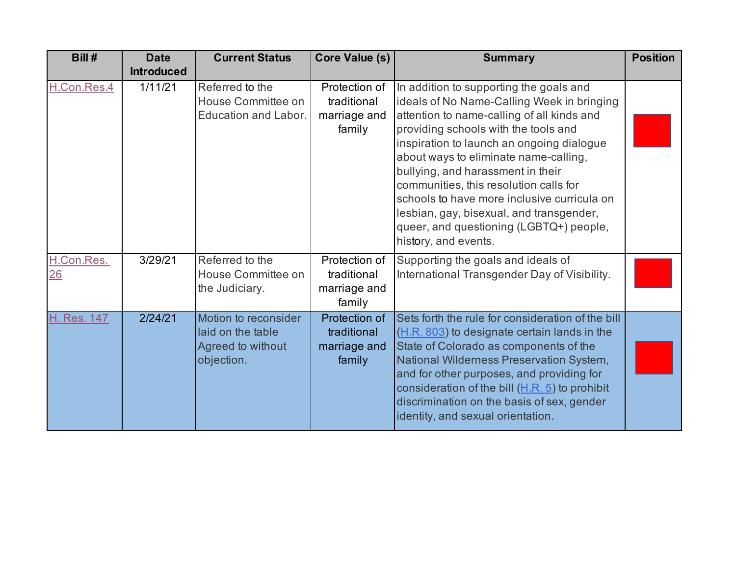| Bill#              | <b>Date</b><br><b>Introduced</b> | <b>Current Status</b>                                                        | <b>Core Value (s)</b>                                  | <b>Summary</b>                                                                                                                                                                                                                                                                                                                                                                                                                                                                                                 | <b>Position</b> |
|--------------------|----------------------------------|------------------------------------------------------------------------------|--------------------------------------------------------|----------------------------------------------------------------------------------------------------------------------------------------------------------------------------------------------------------------------------------------------------------------------------------------------------------------------------------------------------------------------------------------------------------------------------------------------------------------------------------------------------------------|-----------------|
| H.Con.Res.4        | 1/11/21                          | Referred to the<br>House Committee on<br>Education and Labor.                | Protection of<br>traditional<br>marriage and<br>family | In addition to supporting the goals and<br>ideals of No Name-Calling Week in bringing<br>attention to name-calling of all kinds and<br>providing schools with the tools and<br>inspiration to launch an ongoing dialogue<br>about ways to eliminate name-calling,<br>bullying, and harassment in their<br>communities, this resolution calls for<br>schools to have more inclusive curricula on<br>lesbian, gay, bisexual, and transgender,<br>queer, and questioning (LGBTQ+) people,<br>history, and events. |                 |
| H.Con.Res.<br>26   | 3/29/21                          | Referred to the<br>House Committee on<br>the Judiciary.                      | Protection of<br>traditional<br>marriage and<br>family | Supporting the goals and ideals of<br>International Transgender Day of Visibility.                                                                                                                                                                                                                                                                                                                                                                                                                             |                 |
| <b>H. Res. 147</b> | 2/24/21                          | Motion to reconsider<br>laid on the table<br>Agreed to without<br>objection. | Protection of<br>traditional<br>marriage and<br>family | Sets forth the rule for consideration of the bill<br>(H.R. 803) to designate certain lands in the<br>State of Colorado as components of the<br>National Wilderness Preservation System,<br>and for other purposes, and providing for<br>consideration of the bill $(H.R. 5)$ to prohibit<br>discrimination on the basis of sex, gender<br>identity, and sexual orientation.                                                                                                                                    |                 |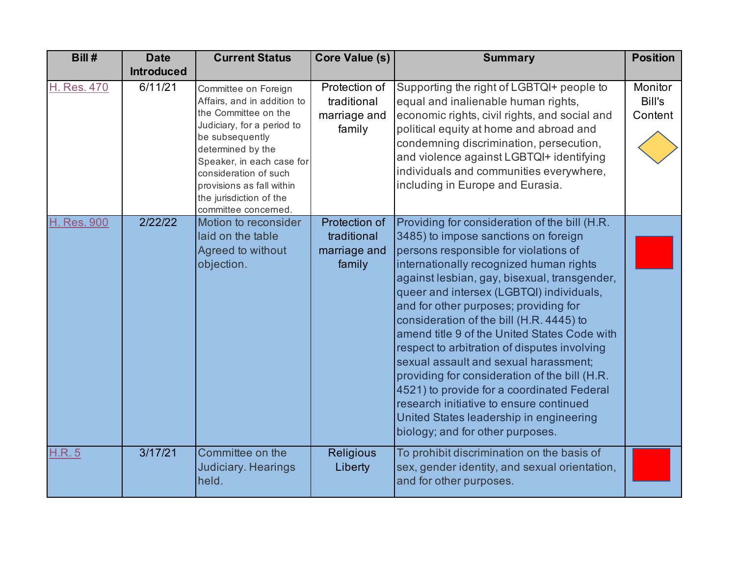| Bill#              | <b>Date</b>       | <b>Current Status</b>                                                                                                                                                                                                                                                                   | Core Value (s)                                         | <b>Summary</b>                                                                                                                                                                                                                                                                                                                                                                                                                                                                                                                                                                                                                                                                                                               | <b>Position</b>              |
|--------------------|-------------------|-----------------------------------------------------------------------------------------------------------------------------------------------------------------------------------------------------------------------------------------------------------------------------------------|--------------------------------------------------------|------------------------------------------------------------------------------------------------------------------------------------------------------------------------------------------------------------------------------------------------------------------------------------------------------------------------------------------------------------------------------------------------------------------------------------------------------------------------------------------------------------------------------------------------------------------------------------------------------------------------------------------------------------------------------------------------------------------------------|------------------------------|
|                    | <b>Introduced</b> |                                                                                                                                                                                                                                                                                         |                                                        |                                                                                                                                                                                                                                                                                                                                                                                                                                                                                                                                                                                                                                                                                                                              |                              |
| H. Res. 470        | 6/11/21           | Committee on Foreign<br>Affairs, and in addition to<br>the Committee on the<br>Judiciary, for a period to<br>be subsequently<br>determined by the<br>Speaker, in each case for<br>consideration of such<br>provisions as fall within<br>the jurisdiction of the<br>committee concerned. | Protection of<br>traditional<br>marriage and<br>family | Supporting the right of LGBTQI+ people to<br>equal and inalienable human rights,<br>economic rights, civil rights, and social and<br>political equity at home and abroad and<br>condemning discrimination, persecution,<br>and violence against LGBTQI+ identifying<br>individuals and communities everywhere,<br>including in Europe and Eurasia.                                                                                                                                                                                                                                                                                                                                                                           | Monitor<br>Bill's<br>Content |
| <b>H. Res. 900</b> | 2/22/22           | Motion to reconsider<br>laid on the table<br>Agreed to without<br>objection.                                                                                                                                                                                                            | Protection of<br>traditional<br>marriage and<br>family | Providing for consideration of the bill (H.R.<br>3485) to impose sanctions on foreign<br>persons responsible for violations of<br>internationally recognized human rights<br>against lesbian, gay, bisexual, transgender,<br>queer and intersex (LGBTQI) individuals,<br>and for other purposes; providing for<br>consideration of the bill (H.R. 4445) to<br>amend title 9 of the United States Code with<br>respect to arbitration of disputes involving<br>sexual assault and sexual harassment;<br>providing for consideration of the bill (H.R.<br>4521) to provide for a coordinated Federal<br>research initiative to ensure continued<br>United States leadership in engineering<br>biology; and for other purposes. |                              |
| <b>H.R.5</b>       | 3/17/21           | Committee on the<br>Judiciary. Hearings<br>held.                                                                                                                                                                                                                                        | <b>Religious</b><br>Liberty                            | To prohibit discrimination on the basis of<br>sex, gender identity, and sexual orientation,<br>and for other purposes.                                                                                                                                                                                                                                                                                                                                                                                                                                                                                                                                                                                                       |                              |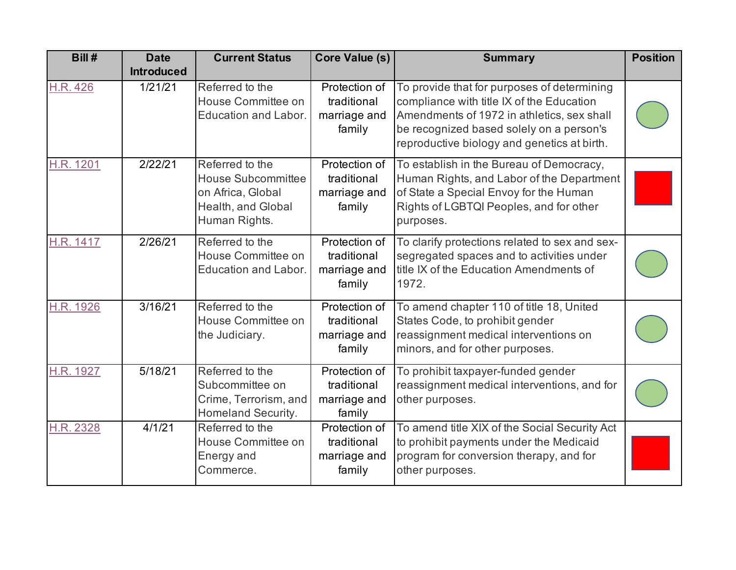| Bill #          | <b>Date</b><br><b>Introduced</b> | <b>Current Status</b>                                                                                    | <b>Core Value (s)</b>                                  | <b>Summary</b>                                                                                                                                                                                                                    | <b>Position</b> |
|-----------------|----------------------------------|----------------------------------------------------------------------------------------------------------|--------------------------------------------------------|-----------------------------------------------------------------------------------------------------------------------------------------------------------------------------------------------------------------------------------|-----------------|
| <b>H.R. 426</b> | 1/21/21                          | Referred to the<br>House Committee on<br>Education and Labor.                                            | Protection of<br>traditional<br>marriage and<br>family | To provide that for purposes of determining<br>compliance with title IX of the Education<br>Amendments of 1972 in athletics, sex shall<br>be recognized based solely on a person's<br>reproductive biology and genetics at birth. |                 |
| H.R. 1201       | 2/22/21                          | Referred to the<br><b>House Subcommittee</b><br>on Africa, Global<br>Health, and Global<br>Human Rights. | Protection of<br>traditional<br>marriage and<br>family | To establish in the Bureau of Democracy,<br>Human Rights, and Labor of the Department<br>of State a Special Envoy for the Human<br>Rights of LGBTQI Peoples, and for other<br>purposes.                                           |                 |
| H.R. 1417       | 2/26/21                          | Referred to the<br>House Committee on<br><b>Education and Labor.</b>                                     | Protection of<br>traditional<br>marriage and<br>family | To clarify protections related to sex and sex-<br>segregated spaces and to activities under<br>title IX of the Education Amendments of<br>1972.                                                                                   |                 |
| H.R. 1926       | 3/16/21                          | Referred to the<br>House Committee on<br>the Judiciary.                                                  | Protection of<br>traditional<br>marriage and<br>family | To amend chapter 110 of title 18, United<br>States Code, to prohibit gender<br>reassignment medical interventions on<br>minors, and for other purposes.                                                                           |                 |
| H.R. 1927       | 5/18/21                          | Referred to the<br>Subcommittee on<br>Crime, Terrorism, and<br>Homeland Security.                        | Protection of<br>traditional<br>marriage and<br>family | To prohibit taxpayer-funded gender<br>reassignment medical interventions, and for<br>other purposes.                                                                                                                              |                 |
| H.R. 2328       | 4/1/21                           | Referred to the<br>House Committee on<br>Energy and<br>Commerce.                                         | Protection of<br>traditional<br>marriage and<br>family | To amend title XIX of the Social Security Act<br>to prohibit payments under the Medicaid<br>program for conversion therapy, and for<br>other purposes.                                                                            |                 |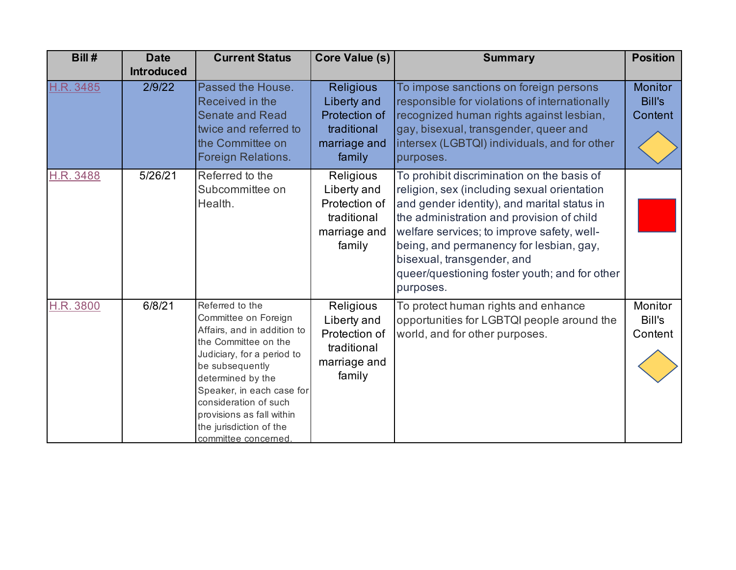| Bill#     | <b>Date</b><br><b>Introduced</b> | <b>Current Status</b>                                                                                                                                                                                                                                                                                     | <b>Core Value (s)</b>                                                                     | <b>Summary</b>                                                                                                                                                                                                                                                                                                                                                             | <b>Position</b>                            |
|-----------|----------------------------------|-----------------------------------------------------------------------------------------------------------------------------------------------------------------------------------------------------------------------------------------------------------------------------------------------------------|-------------------------------------------------------------------------------------------|----------------------------------------------------------------------------------------------------------------------------------------------------------------------------------------------------------------------------------------------------------------------------------------------------------------------------------------------------------------------------|--------------------------------------------|
| H.R. 3485 | 2/9/22                           | Passed the House.<br>Received in the<br><b>Senate and Read</b><br>twice and referred to<br>the Committee on<br>Foreign Relations.                                                                                                                                                                         | <b>Religious</b><br>Liberty and<br>Protection of<br>traditional<br>marriage and<br>family | To impose sanctions on foreign persons<br>responsible for violations of internationally<br>recognized human rights against lesbian,<br>gay, bisexual, transgender, queer and<br>intersex (LGBTQI) individuals, and for other<br>purposes.                                                                                                                                  | <b>Monitor</b><br><b>Bill's</b><br>Content |
| H.R. 3488 | 5/26/21                          | Referred to the<br>Subcommittee on<br>Health.                                                                                                                                                                                                                                                             | Religious<br>Liberty and<br>Protection of<br>traditional<br>marriage and<br>family        | To prohibit discrimination on the basis of<br>religion, sex (including sexual orientation<br>and gender identity), and marital status in<br>the administration and provision of child<br>welfare services; to improve safety, well-<br>being, and permanency for lesbian, gay,<br>bisexual, transgender, and<br>queer/questioning foster youth; and for other<br>purposes. |                                            |
| H.R. 3800 | 6/8/21                           | Referred to the<br>Committee on Foreign<br>Affairs, and in addition to<br>the Committee on the<br>Judiciary, for a period to<br>be subsequently<br>determined by the<br>Speaker, in each case for<br>consideration of such<br>provisions as fall within<br>the jurisdiction of the<br>committee concerned | Religious<br>Liberty and<br>Protection of<br>traditional<br>marriage and<br>family        | To protect human rights and enhance<br>opportunities for LGBTQI people around the<br>world, and for other purposes.                                                                                                                                                                                                                                                        | Monitor<br>Bill's<br>Content               |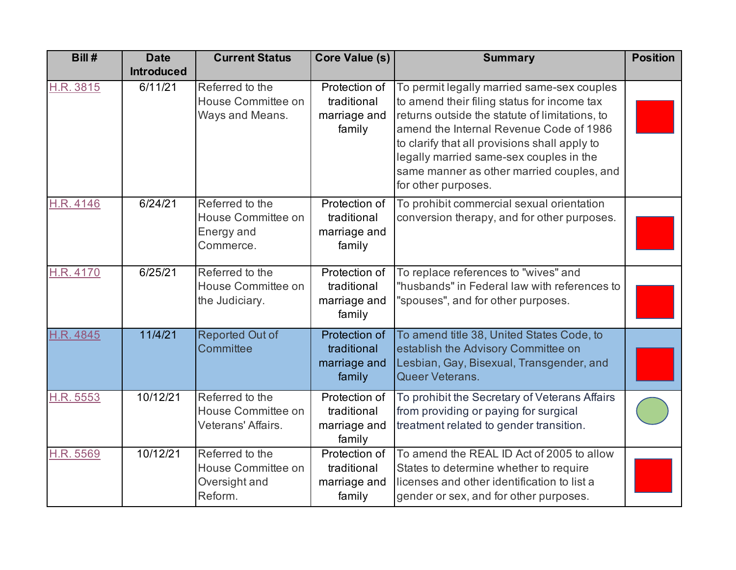| Bill#     | <b>Date</b><br><b>Introduced</b> | <b>Current Status</b>                                             | Core Value (s)                                         | <b>Summary</b>                                                                                                                                                                                                                                                                                                                                         | <b>Position</b> |
|-----------|----------------------------------|-------------------------------------------------------------------|--------------------------------------------------------|--------------------------------------------------------------------------------------------------------------------------------------------------------------------------------------------------------------------------------------------------------------------------------------------------------------------------------------------------------|-----------------|
| H.R. 3815 | 6/11/21                          | Referred to the<br>House Committee on<br>Ways and Means.          | Protection of<br>traditional<br>marriage and<br>family | To permit legally married same-sex couples<br>to amend their filing status for income tax<br>returns outside the statute of limitations, to<br>amend the Internal Revenue Code of 1986<br>to clarify that all provisions shall apply to<br>legally married same-sex couples in the<br>same manner as other married couples, and<br>for other purposes. |                 |
| H.R. 4146 | 6/24/21                          | Referred to the<br>House Committee on<br>Energy and<br>Commerce.  | Protection of<br>traditional<br>marriage and<br>family | To prohibit commercial sexual orientation<br>conversion therapy, and for other purposes.                                                                                                                                                                                                                                                               |                 |
| H.R. 4170 | 6/25/21                          | Referred to the<br>House Committee on<br>the Judiciary.           | Protection of<br>traditional<br>marriage and<br>family | To replace references to "wives" and<br>"husbands" in Federal law with references to<br>"spouses", and for other purposes.                                                                                                                                                                                                                             |                 |
| H.R. 4845 | 11/4/21                          | <b>Reported Out of</b><br>Committee                               | Protection of<br>traditional<br>marriage and<br>family | To amend title 38, United States Code, to<br>establish the Advisory Committee on<br>Lesbian, Gay, Bisexual, Transgender, and<br>Queer Veterans.                                                                                                                                                                                                        |                 |
| H.R. 5553 | 10/12/21                         | Referred to the<br>House Committee on<br>Veterans' Affairs.       | Protection of<br>traditional<br>marriage and<br>family | To prohibit the Secretary of Veterans Affairs<br>from providing or paying for surgical<br>treatment related to gender transition.                                                                                                                                                                                                                      |                 |
| H.R. 5569 | 10/12/21                         | Referred to the<br>House Committee on<br>Oversight and<br>Reform. | Protection of<br>traditional<br>marriage and<br>family | To amend the REAL ID Act of 2005 to allow<br>States to determine whether to require<br>licenses and other identification to list a<br>gender or sex, and for other purposes.                                                                                                                                                                           |                 |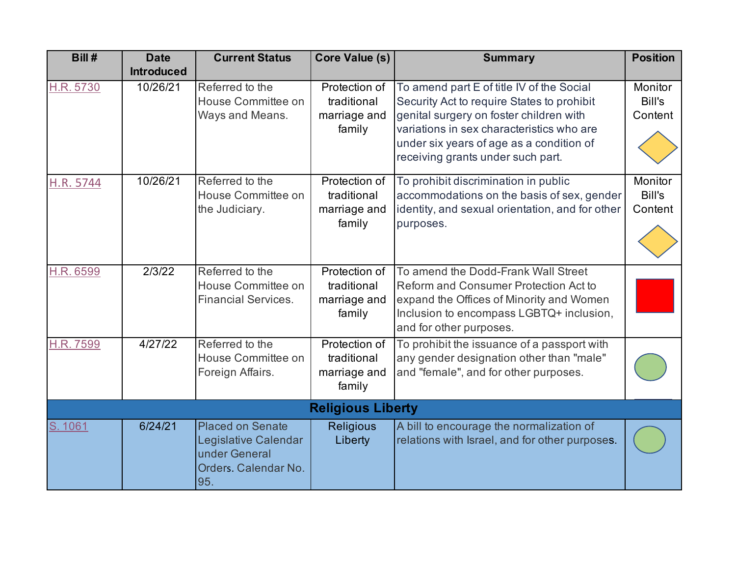| Bill#                    | <b>Date</b>       | <b>Current Status</b>                                                                           | Core Value (s)                                         | <b>Summary</b>                                                                                                                                                                                                                                                   | <b>Position</b>              |  |  |
|--------------------------|-------------------|-------------------------------------------------------------------------------------------------|--------------------------------------------------------|------------------------------------------------------------------------------------------------------------------------------------------------------------------------------------------------------------------------------------------------------------------|------------------------------|--|--|
|                          | <b>Introduced</b> |                                                                                                 |                                                        |                                                                                                                                                                                                                                                                  |                              |  |  |
| H.R. 5730                | 10/26/21          | Referred to the<br>House Committee on<br>Ways and Means.                                        | Protection of<br>traditional<br>marriage and<br>family | To amend part E of title IV of the Social<br>Security Act to require States to prohibit<br>genital surgery on foster children with<br>variations in sex characteristics who are<br>under six years of age as a condition of<br>receiving grants under such part. | Monitor<br>Bill's<br>Content |  |  |
| H.R. 5744                | 10/26/21          | Referred to the<br>House Committee on<br>the Judiciary.                                         | Protection of<br>traditional<br>marriage and<br>family | To prohibit discrimination in public<br>accommodations on the basis of sex, gender<br>identity, and sexual orientation, and for other<br>purposes.                                                                                                               | Monitor<br>Bill's<br>Content |  |  |
| H.R. 6599                | 2/3/22            | Referred to the<br>House Committee on<br><b>Financial Services.</b>                             | Protection of<br>traditional<br>marriage and<br>family | To amend the Dodd-Frank Wall Street<br>Reform and Consumer Protection Act to<br>expand the Offices of Minority and Women<br>Inclusion to encompass LGBTQ+ inclusion,<br>and for other purposes.                                                                  |                              |  |  |
| H.R. 7599                | 4/27/22           | Referred to the<br>House Committee on<br>Foreign Affairs.                                       | Protection of<br>traditional<br>marriage and<br>family | To prohibit the issuance of a passport with<br>any gender designation other than "male"<br>and "female", and for other purposes.                                                                                                                                 |                              |  |  |
| <b>Religious Liberty</b> |                   |                                                                                                 |                                                        |                                                                                                                                                                                                                                                                  |                              |  |  |
| S. 1061                  | 6/24/21           | <b>Placed on Senate</b><br>Legislative Calendar<br>under General<br>Orders. Calendar No.<br>95. | <b>Religious</b><br>Liberty                            | A bill to encourage the normalization of<br>relations with Israel, and for other purposes.                                                                                                                                                                       |                              |  |  |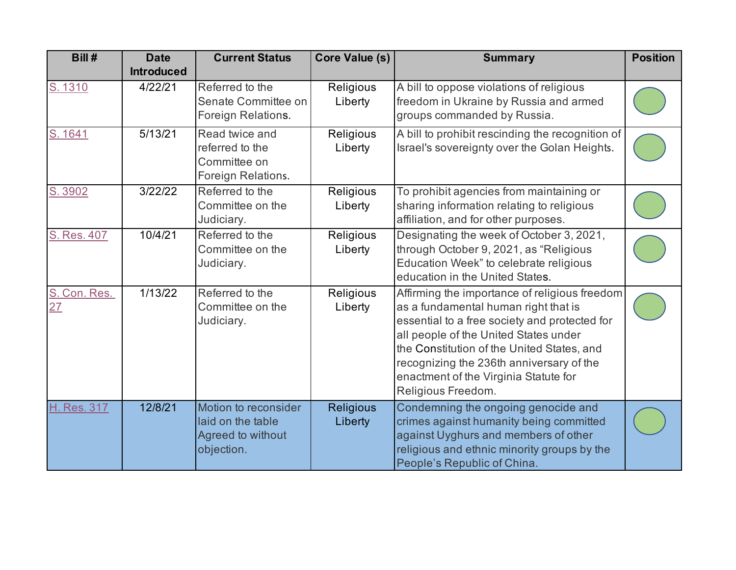| Bill#              | <b>Date</b><br><b>Introduced</b> | <b>Current Status</b>                                                        | Core Value (s)              | <b>Summary</b>                                                                                                                                                                                                                                                                                                                           | <b>Position</b> |
|--------------------|----------------------------------|------------------------------------------------------------------------------|-----------------------------|------------------------------------------------------------------------------------------------------------------------------------------------------------------------------------------------------------------------------------------------------------------------------------------------------------------------------------------|-----------------|
| S. 1310            | 4/22/21                          | Referred to the<br>Senate Committee on<br>Foreign Relations.                 | Religious<br>Liberty        | A bill to oppose violations of religious<br>freedom in Ukraine by Russia and armed<br>groups commanded by Russia.                                                                                                                                                                                                                        |                 |
| S. 1641            | 5/13/21                          | Read twice and<br>referred to the<br>Committee on<br>Foreign Relations.      | Religious<br>Liberty        | A bill to prohibit rescinding the recognition of<br>Israel's sovereignty over the Golan Heights.                                                                                                                                                                                                                                         |                 |
| S. 3902            | 3/22/22                          | Referred to the<br>Committee on the<br>Judiciary.                            | Religious<br>Liberty        | To prohibit agencies from maintaining or<br>sharing information relating to religious<br>affiliation, and for other purposes.                                                                                                                                                                                                            |                 |
| S. Res. 407        | 10/4/21                          | Referred to the<br>Committee on the<br>Judiciary.                            | Religious<br>Liberty        | Designating the week of October 3, 2021,<br>through October 9, 2021, as "Religious<br>Education Week" to celebrate religious<br>education in the United States.                                                                                                                                                                          |                 |
| S. Con. Res.<br>27 | 1/13/22                          | Referred to the<br>Committee on the<br>Judiciary.                            | Religious<br>Liberty        | Affirming the importance of religious freedom<br>as a fundamental human right that is<br>essential to a free society and protected for<br>all people of the United States under<br>the Constitution of the United States, and<br>recognizing the 236th anniversary of the<br>enactment of the Virginia Statute for<br>Religious Freedom. |                 |
| H. Res. 317        | 12/8/21                          | Motion to reconsider<br>laid on the table<br>Agreed to without<br>objection. | <b>Religious</b><br>Liberty | Condemning the ongoing genocide and<br>crimes against humanity being committed<br>against Uyghurs and members of other<br>religious and ethnic minority groups by the<br>People's Republic of China.                                                                                                                                     |                 |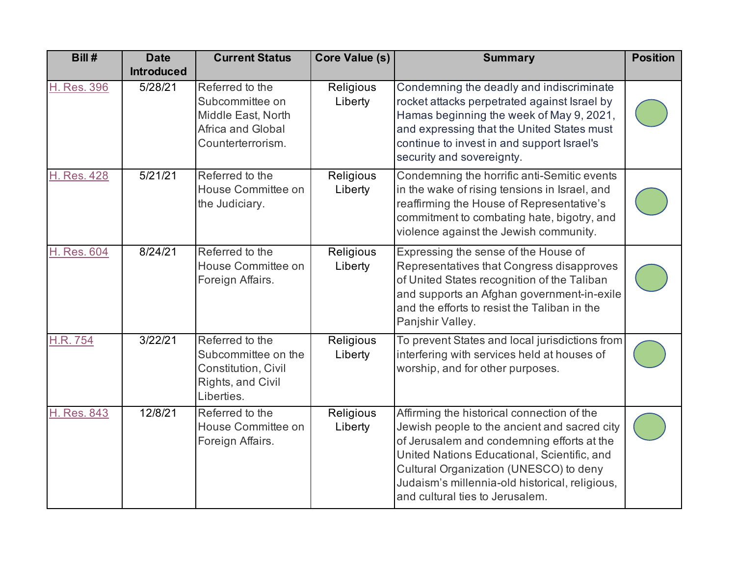| Bill#              | <b>Date</b><br><b>Introduced</b> | <b>Current Status</b>                                                                              | <b>Core Value (s)</b> | <b>Summary</b>                                                                                                                                                                                                                                                                                                         | <b>Position</b> |
|--------------------|----------------------------------|----------------------------------------------------------------------------------------------------|-----------------------|------------------------------------------------------------------------------------------------------------------------------------------------------------------------------------------------------------------------------------------------------------------------------------------------------------------------|-----------------|
| <b>H. Res. 396</b> | 5/28/21                          | Referred to the<br>Subcommittee on<br>Middle East, North<br>Africa and Global<br>Counterterrorism. | Religious<br>Liberty  | Condemning the deadly and indiscriminate<br>rocket attacks perpetrated against Israel by<br>Hamas beginning the week of May 9, 2021,<br>and expressing that the United States must<br>continue to invest in and support Israel's<br>security and sovereignty.                                                          |                 |
| <b>H. Res. 428</b> | 5/21/21                          | Referred to the<br>House Committee on<br>the Judiciary.                                            | Religious<br>Liberty  | Condemning the horrific anti-Semitic events<br>in the wake of rising tensions in Israel, and<br>reaffirming the House of Representative's<br>commitment to combating hate, bigotry, and<br>violence against the Jewish community.                                                                                      |                 |
| H. Res. 604        | 8/24/21                          | Referred to the<br>House Committee on<br>Foreign Affairs.                                          | Religious<br>Liberty  | Expressing the sense of the House of<br>Representatives that Congress disapproves<br>of United States recognition of the Taliban<br>and supports an Afghan government-in-exile<br>and the efforts to resist the Taliban in the<br>Panjshir Valley.                                                                     |                 |
| <b>H.R. 754</b>    | 3/22/21                          | Referred to the<br>Subcommittee on the<br>Constitution, Civil<br>Rights, and Civil<br>Liberties.   | Religious<br>Liberty  | To prevent States and local jurisdictions from<br>interfering with services held at houses of<br>worship, and for other purposes.                                                                                                                                                                                      |                 |
| <b>H. Res. 843</b> | 12/8/21                          | Referred to the<br>House Committee on<br>Foreign Affairs.                                          | Religious<br>Liberty  | Affirming the historical connection of the<br>Jewish people to the ancient and sacred city<br>of Jerusalem and condemning efforts at the<br>United Nations Educational, Scientific, and<br>Cultural Organization (UNESCO) to deny<br>Judaism's millennia-old historical, religious,<br>and cultural ties to Jerusalem. |                 |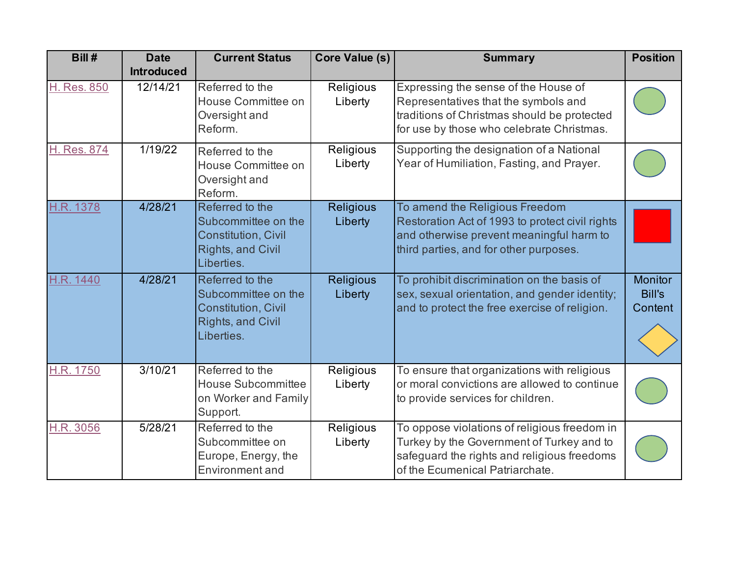| Bill #             | <b>Date</b><br><b>Introduced</b> | <b>Current Status</b>                                                                                          | Core Value (s)              | <b>Summary</b>                                                                                                                                                              | <b>Position</b>                     |
|--------------------|----------------------------------|----------------------------------------------------------------------------------------------------------------|-----------------------------|-----------------------------------------------------------------------------------------------------------------------------------------------------------------------------|-------------------------------------|
| <b>H. Res. 850</b> | 12/14/21                         | Referred to the<br>House Committee on<br>Oversight and<br>Reform.                                              | Religious<br>Liberty        | Expressing the sense of the House of<br>Representatives that the symbols and<br>traditions of Christmas should be protected<br>for use by those who celebrate Christmas.    |                                     |
| H. Res. 874        | 1/19/22                          | Referred to the<br>House Committee on<br>Oversight and<br>Reform.                                              | Religious<br>Liberty        | Supporting the designation of a National<br>Year of Humiliation, Fasting, and Prayer.                                                                                       |                                     |
| H.R. 1378          | 4/28/21                          | Referred to the<br>Subcommittee on the<br><b>Constitution, Civil</b><br><b>Rights, and Civil</b><br>Liberties. | <b>Religious</b><br>Liberty | To amend the Religious Freedom<br>Restoration Act of 1993 to protect civil rights<br>and otherwise prevent meaningful harm to<br>third parties, and for other purposes.     |                                     |
| H.R. 1440          | 4/28/21                          | Referred to the<br>Subcommittee on the<br><b>Constitution, Civil</b><br>Rights, and Civil<br>Liberties.        | <b>Religious</b><br>Liberty | To prohibit discrimination on the basis of<br>sex, sexual orientation, and gender identity;<br>and to protect the free exercise of religion.                                | Monitor<br><b>Bill's</b><br>Content |
| <b>H.R. 1750</b>   | 3/10/21                          | Referred to the<br><b>House Subcommittee</b><br>on Worker and Family<br>Support.                               | Religious<br>Liberty        | To ensure that organizations with religious<br>or moral convictions are allowed to continue<br>to provide services for children.                                            |                                     |
| H.R. 3056          | 5/28/21                          | Referred to the<br>Subcommittee on<br>Europe, Energy, the<br>Environment and                                   | Religious<br>Liberty        | To oppose violations of religious freedom in<br>Turkey by the Government of Turkey and to<br>safeguard the rights and religious freedoms<br>of the Ecumenical Patriarchate. |                                     |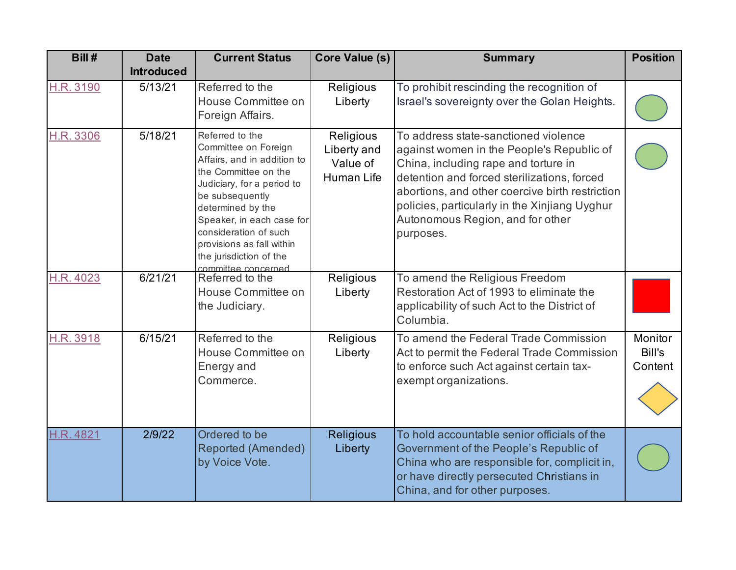| Bill#     | <b>Date</b>       | <b>Current Status</b>                                                                                                                                                                                                                                                                                     | <b>Core Value (s)</b>                              | <b>Summary</b>                                                                                                                                                                                                                                                                                                                | <b>Position</b>              |
|-----------|-------------------|-----------------------------------------------------------------------------------------------------------------------------------------------------------------------------------------------------------------------------------------------------------------------------------------------------------|----------------------------------------------------|-------------------------------------------------------------------------------------------------------------------------------------------------------------------------------------------------------------------------------------------------------------------------------------------------------------------------------|------------------------------|
|           | <b>Introduced</b> |                                                                                                                                                                                                                                                                                                           |                                                    |                                                                                                                                                                                                                                                                                                                               |                              |
| H.R. 3190 | 5/13/21           | Referred to the<br>House Committee on<br>Foreign Affairs.                                                                                                                                                                                                                                                 | Religious<br>Liberty                               | To prohibit rescinding the recognition of<br>Israel's sovereignty over the Golan Heights.                                                                                                                                                                                                                                     |                              |
| H.R. 3306 | 5/18/21           | Referred to the<br>Committee on Foreign<br>Affairs, and in addition to<br>the Committee on the<br>Judiciary, for a period to<br>be subsequently<br>determined by the<br>Speaker, in each case for<br>consideration of such<br>provisions as fall within<br>the jurisdiction of the<br>committee concerned | Religious<br>Liberty and<br>Value of<br>Human Life | To address state-sanctioned violence<br>against women in the People's Republic of<br>China, including rape and torture in<br>detention and forced sterilizations, forced<br>abortions, and other coercive birth restriction<br>policies, particularly in the Xinjiang Uyghur<br>Autonomous Region, and for other<br>purposes. |                              |
| H.R. 4023 | 6/21/21           | Referred to the<br>House Committee on<br>the Judiciary.                                                                                                                                                                                                                                                   | Religious<br>Liberty                               | To amend the Religious Freedom<br>Restoration Act of 1993 to eliminate the<br>applicability of such Act to the District of<br>Columbia.                                                                                                                                                                                       |                              |
| H.R. 3918 | 6/15/21           | Referred to the<br>House Committee on<br>Energy and<br>Commerce.                                                                                                                                                                                                                                          | Religious<br>Liberty                               | To amend the Federal Trade Commission<br>Act to permit the Federal Trade Commission<br>to enforce such Act against certain tax-<br>exempt organizations.                                                                                                                                                                      | Monitor<br>Bill's<br>Content |
| H.R. 4821 | 2/9/22            | Ordered to be<br><b>Reported (Amended)</b><br>by Voice Vote.                                                                                                                                                                                                                                              | Religious<br>Liberty                               | To hold accountable senior officials of the<br>Government of the People's Republic of<br>China who are responsible for, complicit in,<br>or have directly persecuted Christians in<br>China, and for other purposes.                                                                                                          |                              |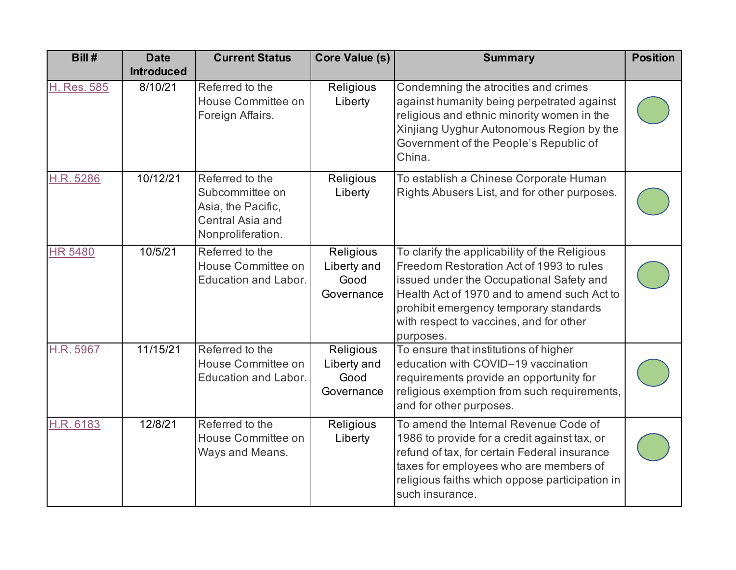| Bill#          | <b>Date</b>       | <b>Current Status</b>                                                                             | Core Value (s)                                 | <b>Summary</b>                                                                                                                                                                                                                                                                         | <b>Position</b> |
|----------------|-------------------|---------------------------------------------------------------------------------------------------|------------------------------------------------|----------------------------------------------------------------------------------------------------------------------------------------------------------------------------------------------------------------------------------------------------------------------------------------|-----------------|
|                | <b>Introduced</b> |                                                                                                   |                                                |                                                                                                                                                                                                                                                                                        |                 |
| H. Res. 585    | 8/10/21           | Referred to the<br>House Committee on<br>Foreign Affairs.                                         | Religious<br>Liberty                           | Condemning the atrocities and crimes<br>against humanity being perpetrated against<br>religious and ethnic minority women in the<br>Xinjiang Uyghur Autonomous Region by the<br>Government of the People's Republic of<br>China.                                                       |                 |
| H.R. 5286      | 10/12/21          | Referred to the<br>Subcommittee on<br>Asia, the Pacific,<br>Central Asia and<br>Nonproliferation. | Religious<br>Liberty                           | To establish a Chinese Corporate Human<br>Rights Abusers List, and for other purposes.                                                                                                                                                                                                 |                 |
| <b>HR 5480</b> | 10/5/21           | Referred to the<br>House Committee on<br><b>Education and Labor.</b>                              | Religious<br>Liberty and<br>Good<br>Governance | To clarify the applicability of the Religious<br>Freedom Restoration Act of 1993 to rules<br>issued under the Occupational Safety and<br>Health Act of 1970 and to amend such Act to<br>prohibit emergency temporary standards<br>with respect to vaccines, and for other<br>purposes. |                 |
| H.R. 5967      | 11/15/21          | Referred to the<br>House Committee on<br>Education and Labor.                                     | Religious<br>Liberty and<br>Good<br>Governance | To ensure that institutions of higher<br>education with COVID-19 vaccination<br>requirements provide an opportunity for<br>religious exemption from such requirements,<br>and for other purposes.                                                                                      |                 |
| H.R. 6183      | 12/8/21           | Referred to the<br>House Committee on<br>Ways and Means.                                          | Religious<br>Liberty                           | To amend the Internal Revenue Code of<br>1986 to provide for a credit against tax, or<br>refund of tax, for certain Federal insurance<br>taxes for employees who are members of<br>religious faiths which oppose participation in<br>such insurance.                                   |                 |